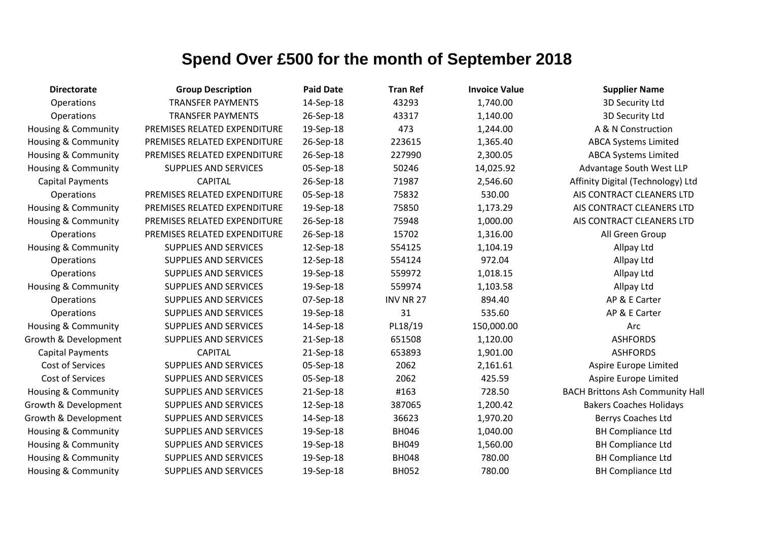| <b>Directorate</b>             | <b>Group Description</b>     | <b>Paid Date</b> | <b>Tran Ref</b>  | <b>Invoice Value</b> | <b>Supplier Name</b>                    |
|--------------------------------|------------------------------|------------------|------------------|----------------------|-----------------------------------------|
| Operations                     | <b>TRANSFER PAYMENTS</b>     | 14-Sep-18        | 43293            | 1,740.00             | 3D Security Ltd                         |
| Operations                     | <b>TRANSFER PAYMENTS</b>     | 26-Sep-18        | 43317            | 1,140.00             | 3D Security Ltd                         |
| <b>Housing &amp; Community</b> | PREMISES RELATED EXPENDITURE | 19-Sep-18        | 473              | 1,244.00             | A & N Construction                      |
| <b>Housing &amp; Community</b> | PREMISES RELATED EXPENDITURE | 26-Sep-18        | 223615           | 1,365.40             | <b>ABCA Systems Limited</b>             |
| <b>Housing &amp; Community</b> | PREMISES RELATED EXPENDITURE | 26-Sep-18        | 227990           | 2,300.05             | <b>ABCA Systems Limited</b>             |
| <b>Housing &amp; Community</b> | <b>SUPPLIES AND SERVICES</b> | 05-Sep-18        | 50246            | 14,025.92            | Advantage South West LLP                |
| <b>Capital Payments</b>        | <b>CAPITAL</b>               | 26-Sep-18        | 71987            | 2,546.60             | Affinity Digital (Technology) Ltd       |
| Operations                     | PREMISES RELATED EXPENDITURE | 05-Sep-18        | 75832            | 530.00               | AIS CONTRACT CLEANERS LTD               |
| <b>Housing &amp; Community</b> | PREMISES RELATED EXPENDITURE | 19-Sep-18        | 75850            | 1,173.29             | AIS CONTRACT CLEANERS LTD               |
| <b>Housing &amp; Community</b> | PREMISES RELATED EXPENDITURE | 26-Sep-18        | 75948            | 1,000.00             | AIS CONTRACT CLEANERS LTD               |
| Operations                     | PREMISES RELATED EXPENDITURE | 26-Sep-18        | 15702            | 1,316.00             | All Green Group                         |
| <b>Housing &amp; Community</b> | <b>SUPPLIES AND SERVICES</b> | 12-Sep-18        | 554125           | 1,104.19             | Allpay Ltd                              |
| Operations                     | <b>SUPPLIES AND SERVICES</b> | 12-Sep-18        | 554124           | 972.04               | Allpay Ltd                              |
| Operations                     | <b>SUPPLIES AND SERVICES</b> | 19-Sep-18        | 559972           | 1,018.15             | Allpay Ltd                              |
| <b>Housing &amp; Community</b> | SUPPLIES AND SERVICES        | 19-Sep-18        | 559974           | 1,103.58             | Allpay Ltd                              |
| Operations                     | <b>SUPPLIES AND SERVICES</b> | 07-Sep-18        | <b>INV NR 27</b> | 894.40               | AP & E Carter                           |
| Operations                     | SUPPLIES AND SERVICES        | 19-Sep-18        | 31               | 535.60               | AP & E Carter                           |
| <b>Housing &amp; Community</b> | SUPPLIES AND SERVICES        | 14-Sep-18        | PL18/19          | 150,000.00           | Arc                                     |
| Growth & Development           | SUPPLIES AND SERVICES        | 21-Sep-18        | 651508           | 1,120.00             | <b>ASHFORDS</b>                         |
| <b>Capital Payments</b>        | <b>CAPITAL</b>               | 21-Sep-18        | 653893           | 1,901.00             | <b>ASHFORDS</b>                         |
| <b>Cost of Services</b>        | <b>SUPPLIES AND SERVICES</b> | 05-Sep-18        | 2062             | 2,161.61             | Aspire Europe Limited                   |
| Cost of Services               | <b>SUPPLIES AND SERVICES</b> | 05-Sep-18        | 2062             | 425.59               | Aspire Europe Limited                   |
| <b>Housing &amp; Community</b> | SUPPLIES AND SERVICES        | 21-Sep-18        | #163             | 728.50               | <b>BACH Brittons Ash Community Hall</b> |
| Growth & Development           | SUPPLIES AND SERVICES        | 12-Sep-18        | 387065           | 1,200.42             | <b>Bakers Coaches Holidays</b>          |
| Growth & Development           | SUPPLIES AND SERVICES        | 14-Sep-18        | 36623            | 1,970.20             | Berrys Coaches Ltd                      |
| Housing & Community            | SUPPLIES AND SERVICES        | 19-Sep-18        | <b>BH046</b>     | 1,040.00             | <b>BH Compliance Ltd</b>                |
| Housing & Community            | SUPPLIES AND SERVICES        | 19-Sep-18        | <b>BH049</b>     | 1,560.00             | <b>BH Compliance Ltd</b>                |
| Housing & Community            | SUPPLIES AND SERVICES        | 19-Sep-18        | <b>BH048</b>     | 780.00               | <b>BH Compliance Ltd</b>                |
| Housing & Community            | <b>SUPPLIES AND SERVICES</b> | 19-Sep-18        | <b>BH052</b>     | 780.00               | <b>BH Compliance Ltd</b>                |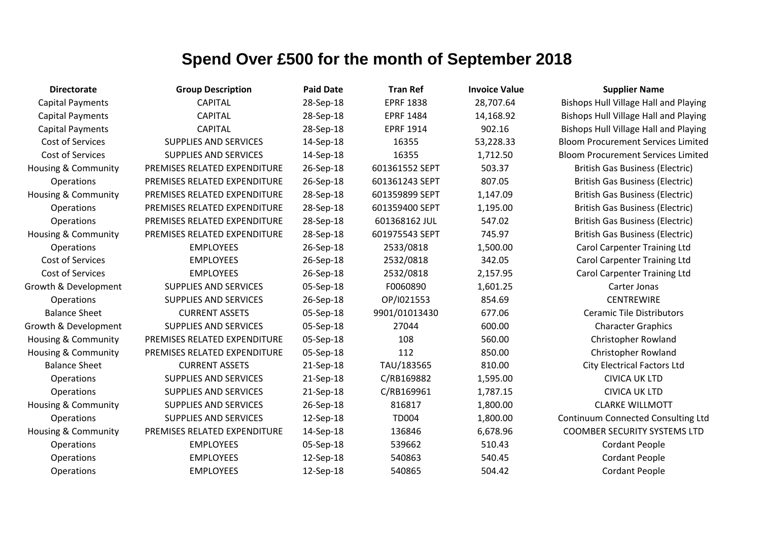| <b>Directorate</b>             | <b>Group Description</b>     | <b>Paid Date</b> | <b>Tran Ref</b>  | <b>Invoice Value</b> | <b>Supplier Name</b>                         |
|--------------------------------|------------------------------|------------------|------------------|----------------------|----------------------------------------------|
| <b>Capital Payments</b>        | <b>CAPITAL</b>               | 28-Sep-18        | <b>EPRF 1838</b> | 28,707.64            | <b>Bishops Hull Village Hall and Playing</b> |
| <b>Capital Payments</b>        | <b>CAPITAL</b>               | 28-Sep-18        | <b>EPRF 1484</b> | 14,168.92            | <b>Bishops Hull Village Hall and Playing</b> |
| <b>Capital Payments</b>        | <b>CAPITAL</b>               | 28-Sep-18        | <b>EPRF 1914</b> | 902.16               | <b>Bishops Hull Village Hall and Playing</b> |
| Cost of Services               | <b>SUPPLIES AND SERVICES</b> | 14-Sep-18        | 16355            | 53,228.33            | <b>Bloom Procurement Services Limited</b>    |
| Cost of Services               | <b>SUPPLIES AND SERVICES</b> | 14-Sep-18        | 16355            | 1,712.50             | <b>Bloom Procurement Services Limited</b>    |
| Housing & Community            | PREMISES RELATED EXPENDITURE | 26-Sep-18        | 601361552 SEPT   | 503.37               | <b>British Gas Business (Electric)</b>       |
| Operations                     | PREMISES RELATED EXPENDITURE | 26-Sep-18        | 601361243 SEPT   | 807.05               | <b>British Gas Business (Electric)</b>       |
| Housing & Community            | PREMISES RELATED EXPENDITURE | 28-Sep-18        | 601359899 SEPT   | 1,147.09             | <b>British Gas Business (Electric)</b>       |
| Operations                     | PREMISES RELATED EXPENDITURE | 28-Sep-18        | 601359400 SEPT   | 1,195.00             | <b>British Gas Business (Electric)</b>       |
| <b>Operations</b>              | PREMISES RELATED EXPENDITURE | 28-Sep-18        | 601368162 JUL    | 547.02               | <b>British Gas Business (Electric)</b>       |
| Housing & Community            | PREMISES RELATED EXPENDITURE | 28-Sep-18        | 601975543 SEPT   | 745.97               | <b>British Gas Business (Electric)</b>       |
| <b>Operations</b>              | <b>EMPLOYEES</b>             | 26-Sep-18        | 2533/0818        | 1,500.00             | <b>Carol Carpenter Training Ltd</b>          |
| Cost of Services               | <b>EMPLOYEES</b>             | 26-Sep-18        | 2532/0818        | 342.05               | <b>Carol Carpenter Training Ltd</b>          |
| Cost of Services               | <b>EMPLOYEES</b>             | 26-Sep-18        | 2532/0818        | 2,157.95             | <b>Carol Carpenter Training Ltd</b>          |
| Growth & Development           | <b>SUPPLIES AND SERVICES</b> | 05-Sep-18        | F0060890         | 1,601.25             | Carter Jonas                                 |
| Operations                     | <b>SUPPLIES AND SERVICES</b> | 26-Sep-18        | OP/I021553       | 854.69               | <b>CENTREWIRE</b>                            |
| <b>Balance Sheet</b>           | <b>CURRENT ASSETS</b>        | 05-Sep-18        | 9901/01013430    | 677.06               | <b>Ceramic Tile Distributors</b>             |
| Growth & Development           | <b>SUPPLIES AND SERVICES</b> | 05-Sep-18        | 27044            | 600.00               | <b>Character Graphics</b>                    |
| Housing & Community            | PREMISES RELATED EXPENDITURE | 05-Sep-18        | 108              | 560.00               | Christopher Rowland                          |
| Housing & Community            | PREMISES RELATED EXPENDITURE | 05-Sep-18        | 112              | 850.00               | Christopher Rowland                          |
| <b>Balance Sheet</b>           | <b>CURRENT ASSETS</b>        | 21-Sep-18        | TAU/183565       | 810.00               | <b>City Electrical Factors Ltd</b>           |
| Operations                     | SUPPLIES AND SERVICES        | 21-Sep-18        | C/RB169882       | 1,595.00             | <b>CIVICA UK LTD</b>                         |
| Operations                     | SUPPLIES AND SERVICES        | 21-Sep-18        | C/RB169961       | 1,787.15             | <b>CIVICA UK LTD</b>                         |
| <b>Housing &amp; Community</b> | <b>SUPPLIES AND SERVICES</b> | 26-Sep-18        | 816817           | 1,800.00             | <b>CLARKE WILLMOTT</b>                       |
| <b>Operations</b>              | <b>SUPPLIES AND SERVICES</b> | 12-Sep-18        | <b>TD004</b>     | 1,800.00             | <b>Continuum Connected Consulting Ltd</b>    |
| <b>Housing &amp; Community</b> | PREMISES RELATED EXPENDITURE | 14-Sep-18        | 136846           | 6,678.96             | <b>COOMBER SECURITY SYSTEMS LTD</b>          |
| <b>Operations</b>              | <b>EMPLOYEES</b>             | 05-Sep-18        | 539662           | 510.43               | <b>Cordant People</b>                        |
| <b>Operations</b>              | <b>EMPLOYEES</b>             | 12-Sep-18        | 540863           | 540.45               | <b>Cordant People</b>                        |
| Operations                     | <b>EMPLOYEES</b>             | 12-Sep-18        | 540865           | 504.42               | <b>Cordant People</b>                        |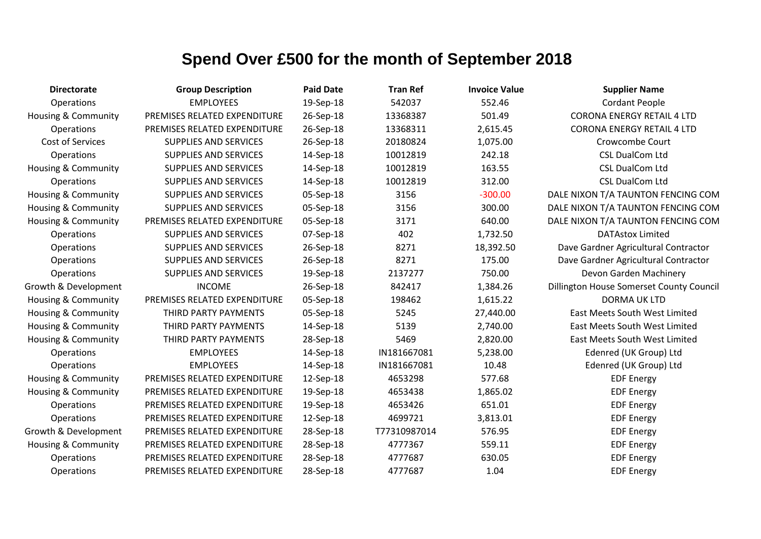| <b>Directorate</b>             | <b>Group Description</b>     | <b>Paid Date</b> | <b>Tran Ref</b> | <b>Invoice Value</b> | <b>Supplier Name</b>                     |
|--------------------------------|------------------------------|------------------|-----------------|----------------------|------------------------------------------|
| Operations                     | <b>EMPLOYEES</b>             | 19-Sep-18        | 542037          | 552.46               | <b>Cordant People</b>                    |
| <b>Housing &amp; Community</b> | PREMISES RELATED EXPENDITURE | 26-Sep-18        | 13368387        | 501.49               | <b>CORONA ENERGY RETAIL 4 LTD</b>        |
| Operations                     | PREMISES RELATED EXPENDITURE | 26-Sep-18        | 13368311        | 2,615.45             | <b>CORONA ENERGY RETAIL 4 LTD</b>        |
| Cost of Services               | <b>SUPPLIES AND SERVICES</b> | 26-Sep-18        | 20180824        | 1,075.00             | Crowcombe Court                          |
| Operations                     | <b>SUPPLIES AND SERVICES</b> | 14-Sep-18        | 10012819        | 242.18               | <b>CSL DualCom Ltd</b>                   |
| <b>Housing &amp; Community</b> | <b>SUPPLIES AND SERVICES</b> | 14-Sep-18        | 10012819        | 163.55               | <b>CSL DualCom Ltd</b>                   |
| Operations                     | <b>SUPPLIES AND SERVICES</b> | 14-Sep-18        | 10012819        | 312.00               | <b>CSL DualCom Ltd</b>                   |
| <b>Housing &amp; Community</b> | <b>SUPPLIES AND SERVICES</b> | 05-Sep-18        | 3156            | $-300.00$            | DALE NIXON T/A TAUNTON FENCING COM       |
| <b>Housing &amp; Community</b> | <b>SUPPLIES AND SERVICES</b> | 05-Sep-18        | 3156            | 300.00               | DALE NIXON T/A TAUNTON FENCING COM       |
| <b>Housing &amp; Community</b> | PREMISES RELATED EXPENDITURE | 05-Sep-18        | 3171            | 640.00               | DALE NIXON T/A TAUNTON FENCING COM       |
| Operations                     | <b>SUPPLIES AND SERVICES</b> | 07-Sep-18        | 402             | 1,732.50             | <b>DATAstox Limited</b>                  |
| Operations                     | <b>SUPPLIES AND SERVICES</b> | 26-Sep-18        | 8271            | 18,392.50            | Dave Gardner Agricultural Contractor     |
| Operations                     | <b>SUPPLIES AND SERVICES</b> | 26-Sep-18        | 8271            | 175.00               | Dave Gardner Agricultural Contractor     |
| Operations                     | <b>SUPPLIES AND SERVICES</b> | 19-Sep-18        | 2137277         | 750.00               | Devon Garden Machinery                   |
| Growth & Development           | <b>INCOME</b>                | 26-Sep-18        | 842417          | 1,384.26             | Dillington House Somerset County Council |
| <b>Housing &amp; Community</b> | PREMISES RELATED EXPENDITURE | 05-Sep-18        | 198462          | 1,615.22             | <b>DORMA UK LTD</b>                      |
| <b>Housing &amp; Community</b> | THIRD PARTY PAYMENTS         | 05-Sep-18        | 5245            | 27,440.00            | East Meets South West Limited            |
| <b>Housing &amp; Community</b> | THIRD PARTY PAYMENTS         | 14-Sep-18        | 5139            | 2,740.00             | <b>East Meets South West Limited</b>     |
| Housing & Community            | THIRD PARTY PAYMENTS         | 28-Sep-18        | 5469            | 2,820.00             | <b>East Meets South West Limited</b>     |
| Operations                     | <b>EMPLOYEES</b>             | 14-Sep-18        | IN181667081     | 5,238.00             | Edenred (UK Group) Ltd                   |
| Operations                     | <b>EMPLOYEES</b>             | 14-Sep-18        | IN181667081     | 10.48                | Edenred (UK Group) Ltd                   |
| <b>Housing &amp; Community</b> | PREMISES RELATED EXPENDITURE | 12-Sep-18        | 4653298         | 577.68               | <b>EDF Energy</b>                        |
| <b>Housing &amp; Community</b> | PREMISES RELATED EXPENDITURE | 19-Sep-18        | 4653438         | 1,865.02             | <b>EDF Energy</b>                        |
| Operations                     | PREMISES RELATED EXPENDITURE | 19-Sep-18        | 4653426         | 651.01               | <b>EDF Energy</b>                        |
| Operations                     | PREMISES RELATED EXPENDITURE | 12-Sep-18        | 4699721         | 3,813.01             | <b>EDF Energy</b>                        |
| Growth & Development           | PREMISES RELATED EXPENDITURE | 28-Sep-18        | T77310987014    | 576.95               | <b>EDF Energy</b>                        |
| <b>Housing &amp; Community</b> | PREMISES RELATED EXPENDITURE | 28-Sep-18        | 4777367         | 559.11               | <b>EDF Energy</b>                        |
| Operations                     | PREMISES RELATED EXPENDITURE | 28-Sep-18        | 4777687         | 630.05               | <b>EDF Energy</b>                        |
| Operations                     | PREMISES RELATED EXPENDITURE | 28-Sep-18        | 4777687         | 1.04                 | <b>EDF Energy</b>                        |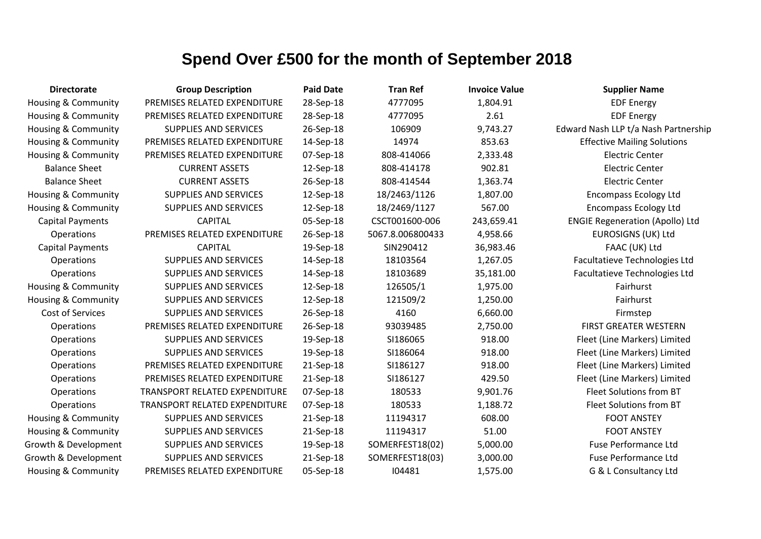| <b>Directorate</b>             | <b>Group Description</b>             | <b>Paid Date</b> | <b>Tran Ref</b>  | <b>Invoice Value</b> | <b>Supplier Name</b>                   |
|--------------------------------|--------------------------------------|------------------|------------------|----------------------|----------------------------------------|
| Housing & Community            | PREMISES RELATED EXPENDITURE         | 28-Sep-18        | 4777095          | 1,804.91             | <b>EDF Energy</b>                      |
| Housing & Community            | PREMISES RELATED EXPENDITURE         | 28-Sep-18        | 4777095          | 2.61                 | <b>EDF Energy</b>                      |
| Housing & Community            | <b>SUPPLIES AND SERVICES</b>         | 26-Sep-18        | 106909           | 9,743.27             | Edward Nash LLP t/a Nash Partnership   |
| Housing & Community            | PREMISES RELATED EXPENDITURE         | 14-Sep-18        | 14974            | 853.63               | <b>Effective Mailing Solutions</b>     |
| <b>Housing &amp; Community</b> | PREMISES RELATED EXPENDITURE         | 07-Sep-18        | 808-414066       | 2,333.48             | <b>Electric Center</b>                 |
| <b>Balance Sheet</b>           | <b>CURRENT ASSETS</b>                | 12-Sep-18        | 808-414178       | 902.81               | <b>Electric Center</b>                 |
| <b>Balance Sheet</b>           | <b>CURRENT ASSETS</b>                | 26-Sep-18        | 808-414544       | 1,363.74             | <b>Electric Center</b>                 |
| <b>Housing &amp; Community</b> | <b>SUPPLIES AND SERVICES</b>         | 12-Sep-18        | 18/2463/1126     | 1,807.00             | <b>Encompass Ecology Ltd</b>           |
| <b>Housing &amp; Community</b> | <b>SUPPLIES AND SERVICES</b>         | 12-Sep-18        | 18/2469/1127     | 567.00               | <b>Encompass Ecology Ltd</b>           |
| <b>Capital Payments</b>        | <b>CAPITAL</b>                       | 05-Sep-18        | CSCT001600-006   | 243,659.41           | <b>ENGIE Regeneration (Apollo) Ltd</b> |
| Operations                     | PREMISES RELATED EXPENDITURE         | 26-Sep-18        | 5067.8.006800433 | 4,958.66             | <b>EUROSIGNS (UK) Ltd</b>              |
| <b>Capital Payments</b>        | <b>CAPITAL</b>                       | 19-Sep-18        | SIN290412        | 36,983.46            | FAAC (UK) Ltd                          |
| Operations                     | <b>SUPPLIES AND SERVICES</b>         | 14-Sep-18        | 18103564         | 1,267.05             | Facultatieve Technologies Ltd          |
| Operations                     | SUPPLIES AND SERVICES                | 14-Sep-18        | 18103689         | 35,181.00            | Facultatieve Technologies Ltd          |
| <b>Housing &amp; Community</b> | <b>SUPPLIES AND SERVICES</b>         | 12-Sep-18        | 126505/1         | 1,975.00             | Fairhurst                              |
| <b>Housing &amp; Community</b> | <b>SUPPLIES AND SERVICES</b>         | 12-Sep-18        | 121509/2         | 1,250.00             | Fairhurst                              |
| Cost of Services               | <b>SUPPLIES AND SERVICES</b>         | 26-Sep-18        | 4160             | 6,660.00             | Firmstep                               |
| Operations                     | PREMISES RELATED EXPENDITURE         | 26-Sep-18        | 93039485         | 2,750.00             | FIRST GREATER WESTERN                  |
| Operations                     | <b>SUPPLIES AND SERVICES</b>         | 19-Sep-18        | SI186065         | 918.00               | Fleet (Line Markers) Limited           |
| Operations                     | <b>SUPPLIES AND SERVICES</b>         | 19-Sep-18        | SI186064         | 918.00               | Fleet (Line Markers) Limited           |
| Operations                     | PREMISES RELATED EXPENDITURE         | 21-Sep-18        | SI186127         | 918.00               | Fleet (Line Markers) Limited           |
| Operations                     | PREMISES RELATED EXPENDITURE         | 21-Sep-18        | SI186127         | 429.50               | Fleet (Line Markers) Limited           |
| Operations                     | <b>TRANSPORT RELATED EXPENDITURE</b> | 07-Sep-18        | 180533           | 9,901.76             | Fleet Solutions from BT                |
| Operations                     | TRANSPORT RELATED EXPENDITURE        | 07-Sep-18        | 180533           | 1,188.72             | <b>Fleet Solutions from BT</b>         |
| <b>Housing &amp; Community</b> | <b>SUPPLIES AND SERVICES</b>         | 21-Sep-18        | 11194317         | 608.00               | <b>FOOT ANSTEY</b>                     |
| <b>Housing &amp; Community</b> | <b>SUPPLIES AND SERVICES</b>         | 21-Sep-18        | 11194317         | 51.00                | <b>FOOT ANSTEY</b>                     |
| Growth & Development           | <b>SUPPLIES AND SERVICES</b>         | 19-Sep-18        | SOMERFEST18(02)  | 5,000.00             | <b>Fuse Performance Ltd</b>            |
| Growth & Development           | <b>SUPPLIES AND SERVICES</b>         | 21-Sep-18        | SOMERFEST18(03)  | 3,000.00             | <b>Fuse Performance Ltd</b>            |
| <b>Housing &amp; Community</b> | PREMISES RELATED EXPENDITURE         | 05-Sep-18        | 104481           | 1,575.00             | G & L Consultancy Ltd                  |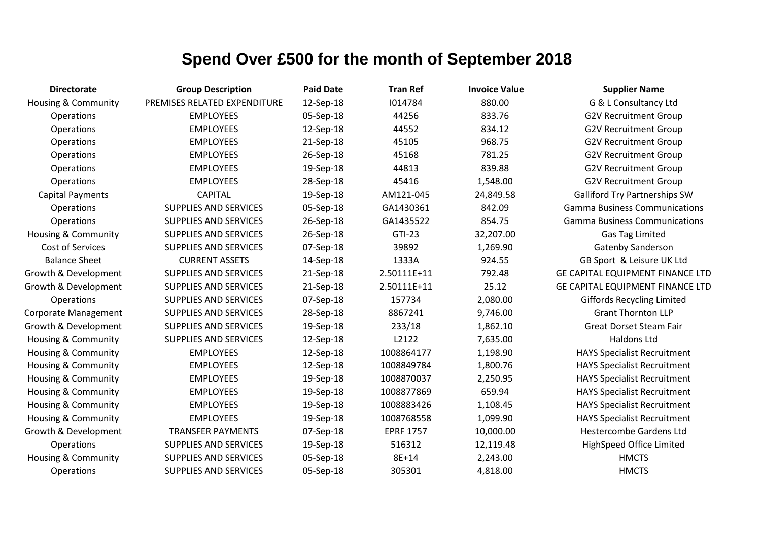| <b>Directorate</b>             | <b>Group Description</b>     | <b>Paid Date</b> | <b>Tran Ref</b>  | <b>Invoice Value</b> | <b>Supplier Name</b>                    |
|--------------------------------|------------------------------|------------------|------------------|----------------------|-----------------------------------------|
| Housing & Community            | PREMISES RELATED EXPENDITURE | 12-Sep-18        | 1014784          | 880.00               | G & L Consultancy Ltd                   |
| Operations                     | <b>EMPLOYEES</b>             | 05-Sep-18        | 44256            | 833.76               | <b>G2V Recruitment Group</b>            |
| Operations                     | <b>EMPLOYEES</b>             | 12-Sep-18        | 44552            | 834.12               | <b>G2V Recruitment Group</b>            |
| Operations                     | <b>EMPLOYEES</b>             | 21-Sep-18        | 45105            | 968.75               | <b>G2V Recruitment Group</b>            |
| Operations                     | <b>EMPLOYEES</b>             | 26-Sep-18        | 45168            | 781.25               | <b>G2V Recruitment Group</b>            |
| Operations                     | <b>EMPLOYEES</b>             | 19-Sep-18        | 44813            | 839.88               | <b>G2V Recruitment Group</b>            |
| Operations                     | <b>EMPLOYEES</b>             | 28-Sep-18        | 45416            | 1,548.00             | <b>G2V Recruitment Group</b>            |
| <b>Capital Payments</b>        | <b>CAPITAL</b>               | 19-Sep-18        | AM121-045        | 24,849.58            | <b>Galliford Try Partnerships SW</b>    |
| Operations                     | <b>SUPPLIES AND SERVICES</b> | 05-Sep-18        | GA1430361        | 842.09               | <b>Gamma Business Communications</b>    |
| Operations                     | SUPPLIES AND SERVICES        | 26-Sep-18        | GA1435522        | 854.75               | <b>Gamma Business Communications</b>    |
| Housing & Community            | <b>SUPPLIES AND SERVICES</b> | 26-Sep-18        | GTI-23           | 32,207.00            | <b>Gas Tag Limited</b>                  |
| Cost of Services               | <b>SUPPLIES AND SERVICES</b> | 07-Sep-18        | 39892            | 1,269.90             | <b>Gatenby Sanderson</b>                |
| <b>Balance Sheet</b>           | <b>CURRENT ASSETS</b>        | 14-Sep-18        | 1333A            | 924.55               | GB Sport & Leisure UK Ltd               |
| Growth & Development           | <b>SUPPLIES AND SERVICES</b> | 21-Sep-18        | 2.50111E+11      | 792.48               | <b>GE CAPITAL EQUIPMENT FINANCE LTD</b> |
| Growth & Development           | <b>SUPPLIES AND SERVICES</b> | 21-Sep-18        | 2.50111E+11      | 25.12                | GE CAPITAL EQUIPMENT FINANCE LTD        |
| Operations                     | <b>SUPPLIES AND SERVICES</b> | 07-Sep-18        | 157734           | 2,080.00             | <b>Giffords Recycling Limited</b>       |
| <b>Corporate Management</b>    | <b>SUPPLIES AND SERVICES</b> | 28-Sep-18        | 8867241          | 9,746.00             | <b>Grant Thornton LLP</b>               |
| Growth & Development           | <b>SUPPLIES AND SERVICES</b> | 19-Sep-18        | 233/18           | 1,862.10             | <b>Great Dorset Steam Fair</b>          |
| Housing & Community            | <b>SUPPLIES AND SERVICES</b> | 12-Sep-18        | L2122            | 7,635.00             | <b>Haldons Ltd</b>                      |
| Housing & Community            | <b>EMPLOYEES</b>             | 12-Sep-18        | 1008864177       | 1,198.90             | <b>HAYS Specialist Recruitment</b>      |
| Housing & Community            | <b>EMPLOYEES</b>             | 12-Sep-18        | 1008849784       | 1,800.76             | <b>HAYS Specialist Recruitment</b>      |
| Housing & Community            | <b>EMPLOYEES</b>             | 19-Sep-18        | 1008870037       | 2,250.95             | <b>HAYS Specialist Recruitment</b>      |
| Housing & Community            | <b>EMPLOYEES</b>             | 19-Sep-18        | 1008877869       | 659.94               | <b>HAYS Specialist Recruitment</b>      |
| <b>Housing &amp; Community</b> | <b>EMPLOYEES</b>             | 19-Sep-18        | 1008883426       | 1,108.45             | <b>HAYS Specialist Recruitment</b>      |
| <b>Housing &amp; Community</b> | <b>EMPLOYEES</b>             | 19-Sep-18        | 1008768558       | 1,099.90             | <b>HAYS Specialist Recruitment</b>      |
| Growth & Development           | <b>TRANSFER PAYMENTS</b>     | 07-Sep-18        | <b>EPRF 1757</b> | 10,000.00            | <b>Hestercombe Gardens Ltd</b>          |
| Operations                     | <b>SUPPLIES AND SERVICES</b> | 19-Sep-18        | 516312           | 12,119.48            | HighSpeed Office Limited                |
| Housing & Community            | <b>SUPPLIES AND SERVICES</b> | 05-Sep-18        | 8E+14            | 2,243.00             | <b>HMCTS</b>                            |
| Operations                     | <b>SUPPLIES AND SERVICES</b> | 05-Sep-18        | 305301           | 4,818.00             | <b>HMCTS</b>                            |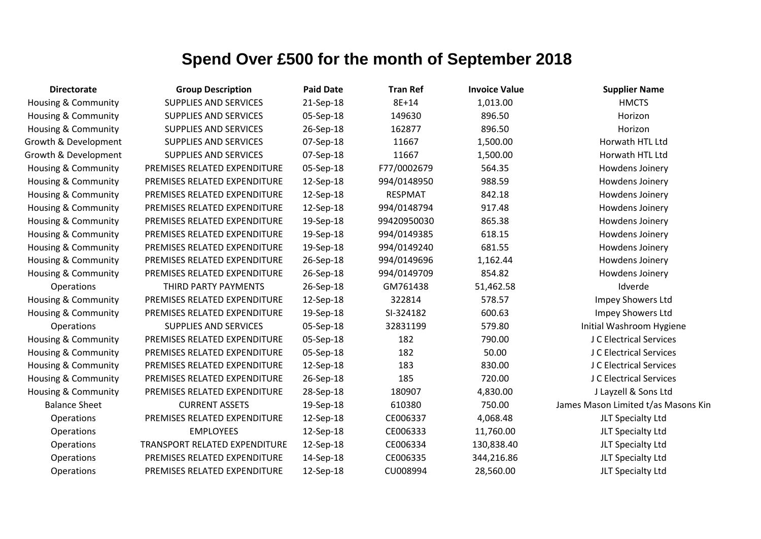| <b>Directorate</b>             | <b>Group Description</b>             | <b>Paid Date</b> | <b>Tran Ref</b> | <b>Invoice Value</b> | <b>Supplier Name</b>                |
|--------------------------------|--------------------------------------|------------------|-----------------|----------------------|-------------------------------------|
| <b>Housing &amp; Community</b> | <b>SUPPLIES AND SERVICES</b>         | 21-Sep-18        | 8E+14           | 1,013.00             | <b>HMCTS</b>                        |
| Housing & Community            | <b>SUPPLIES AND SERVICES</b>         | 05-Sep-18        | 149630          | 896.50               | Horizon                             |
| <b>Housing &amp; Community</b> | SUPPLIES AND SERVICES                | 26-Sep-18        | 162877          | 896.50               | Horizon                             |
| Growth & Development           | <b>SUPPLIES AND SERVICES</b>         | 07-Sep-18        | 11667           | 1,500.00             | Horwath HTL Ltd                     |
| Growth & Development           | <b>SUPPLIES AND SERVICES</b>         | 07-Sep-18        | 11667           | 1,500.00             | Horwath HTL Ltd                     |
| Housing & Community            | PREMISES RELATED EXPENDITURE         | 05-Sep-18        | F77/0002679     | 564.35               | Howdens Joinery                     |
| Housing & Community            | PREMISES RELATED EXPENDITURE         | 12-Sep-18        | 994/0148950     | 988.59               | Howdens Joinery                     |
| <b>Housing &amp; Community</b> | PREMISES RELATED EXPENDITURE         | 12-Sep-18        | <b>RESPMAT</b>  | 842.18               | Howdens Joinery                     |
| Housing & Community            | PREMISES RELATED EXPENDITURE         | 12-Sep-18        | 994/0148794     | 917.48               | Howdens Joinery                     |
| <b>Housing &amp; Community</b> | PREMISES RELATED EXPENDITURE         | 19-Sep-18        | 99420950030     | 865.38               | Howdens Joinery                     |
| Housing & Community            | PREMISES RELATED EXPENDITURE         | 19-Sep-18        | 994/0149385     | 618.15               | Howdens Joinery                     |
| <b>Housing &amp; Community</b> | PREMISES RELATED EXPENDITURE         | 19-Sep-18        | 994/0149240     | 681.55               | Howdens Joinery                     |
| <b>Housing &amp; Community</b> | PREMISES RELATED EXPENDITURE         | 26-Sep-18        | 994/0149696     | 1,162.44             | Howdens Joinery                     |
| <b>Housing &amp; Community</b> | PREMISES RELATED EXPENDITURE         | 26-Sep-18        | 994/0149709     | 854.82               | Howdens Joinery                     |
| Operations                     | THIRD PARTY PAYMENTS                 | 26-Sep-18        | GM761438        | 51,462.58            | Idverde                             |
| Housing & Community            | PREMISES RELATED EXPENDITURE         | 12-Sep-18        | 322814          | 578.57               | Impey Showers Ltd                   |
| <b>Housing &amp; Community</b> | PREMISES RELATED EXPENDITURE         | 19-Sep-18        | SI-324182       | 600.63               | Impey Showers Ltd                   |
| Operations                     | SUPPLIES AND SERVICES                | 05-Sep-18        | 32831199        | 579.80               | Initial Washroom Hygiene            |
| Housing & Community            | PREMISES RELATED EXPENDITURE         | 05-Sep-18        | 182             | 790.00               | J C Electrical Services             |
| <b>Housing &amp; Community</b> | PREMISES RELATED EXPENDITURE         | 05-Sep-18        | 182             | 50.00                | J C Electrical Services             |
| <b>Housing &amp; Community</b> | PREMISES RELATED EXPENDITURE         | 12-Sep-18        | 183             | 830.00               | J C Electrical Services             |
| <b>Housing &amp; Community</b> | PREMISES RELATED EXPENDITURE         | 26-Sep-18        | 185             | 720.00               | J C Electrical Services             |
| <b>Housing &amp; Community</b> | PREMISES RELATED EXPENDITURE         | 28-Sep-18        | 180907          | 4,830.00             | J Layzell & Sons Ltd                |
| <b>Balance Sheet</b>           | <b>CURRENT ASSETS</b>                | 19-Sep-18        | 610380          | 750.00               | James Mason Limited t/as Masons Kin |
| Operations                     | PREMISES RELATED EXPENDITURE         | 12-Sep-18        | CE006337        | 4,068.48             | JLT Specialty Ltd                   |
| Operations                     | <b>EMPLOYEES</b>                     | 12-Sep-18        | CE006333        | 11,760.00            | JLT Specialty Ltd                   |
| Operations                     | <b>TRANSPORT RELATED EXPENDITURE</b> | 12-Sep-18        | CE006334        | 130,838.40           | JLT Specialty Ltd                   |
| Operations                     | PREMISES RELATED EXPENDITURE         | 14-Sep-18        | CE006335        | 344,216.86           | JLT Specialty Ltd                   |
| Operations                     | PREMISES RELATED EXPENDITURE         | 12-Sep-18        | CU008994        | 28,560.00            | JLT Specialty Ltd                   |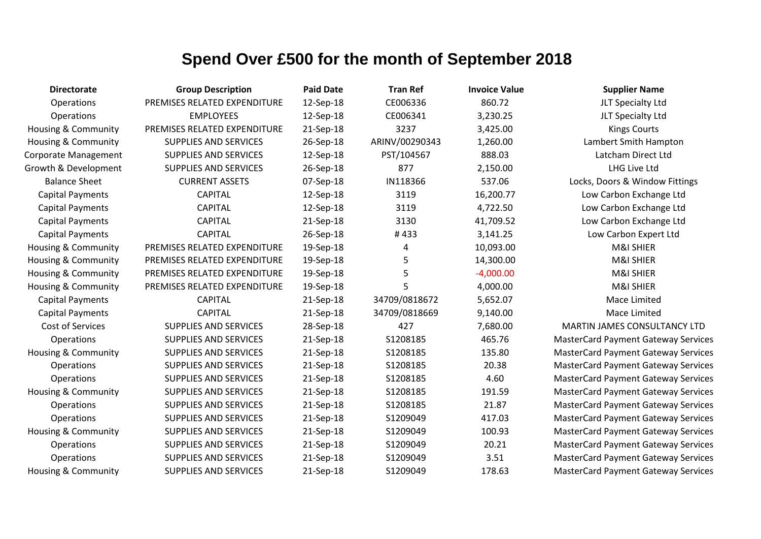| <b>Directorate</b>             | <b>Group Description</b>     | <b>Paid Date</b> | <b>Tran Ref</b> | <b>Invoice Value</b> | <b>Supplier Name</b>                       |
|--------------------------------|------------------------------|------------------|-----------------|----------------------|--------------------------------------------|
| Operations                     | PREMISES RELATED EXPENDITURE | 12-Sep-18        | CE006336        | 860.72               | JLT Specialty Ltd                          |
| Operations                     | <b>EMPLOYEES</b>             | 12-Sep-18        | CE006341        | 3,230.25             | JLT Specialty Ltd                          |
| <b>Housing &amp; Community</b> | PREMISES RELATED EXPENDITURE | 21-Sep-18        | 3237            | 3,425.00             | <b>Kings Courts</b>                        |
| <b>Housing &amp; Community</b> | SUPPLIES AND SERVICES        | 26-Sep-18        | ARINV/00290343  | 1,260.00             | Lambert Smith Hampton                      |
| Corporate Management           | <b>SUPPLIES AND SERVICES</b> | 12-Sep-18        | PST/104567      | 888.03               | Latcham Direct Ltd                         |
| Growth & Development           | <b>SUPPLIES AND SERVICES</b> | 26-Sep-18        | 877             | 2,150.00             | LHG Live Ltd                               |
| <b>Balance Sheet</b>           | <b>CURRENT ASSETS</b>        | 07-Sep-18        | IN118366        | 537.06               | Locks, Doors & Window Fittings             |
| <b>Capital Payments</b>        | <b>CAPITAL</b>               | 12-Sep-18        | 3119            | 16,200.77            | Low Carbon Exchange Ltd                    |
| <b>Capital Payments</b>        | <b>CAPITAL</b>               | 12-Sep-18        | 3119            | 4,722.50             | Low Carbon Exchange Ltd                    |
| <b>Capital Payments</b>        | <b>CAPITAL</b>               | 21-Sep-18        | 3130            | 41,709.52            | Low Carbon Exchange Ltd                    |
| <b>Capital Payments</b>        | <b>CAPITAL</b>               | 26-Sep-18        | #433            | 3,141.25             | Low Carbon Expert Ltd                      |
| Housing & Community            | PREMISES RELATED EXPENDITURE | 19-Sep-18        | 4               | 10,093.00            | M&I SHIER                                  |
| <b>Housing &amp; Community</b> | PREMISES RELATED EXPENDITURE | 19-Sep-18        | 5               | 14,300.00            | M&I SHIER                                  |
| <b>Housing &amp; Community</b> | PREMISES RELATED EXPENDITURE | 19-Sep-18        | 5               | $-4,000.00$          | <b>M&amp;I SHIER</b>                       |
| Housing & Community            | PREMISES RELATED EXPENDITURE | 19-Sep-18        | 5               | 4,000.00             | M&I SHIER                                  |
| <b>Capital Payments</b>        | <b>CAPITAL</b>               | 21-Sep-18        | 34709/0818672   | 5,652.07             | Mace Limited                               |
| <b>Capital Payments</b>        | <b>CAPITAL</b>               | 21-Sep-18        | 34709/0818669   | 9,140.00             | Mace Limited                               |
| Cost of Services               | <b>SUPPLIES AND SERVICES</b> | 28-Sep-18        | 427             | 7,680.00             | MARTIN JAMES CONSULTANCY LTD               |
| Operations                     | <b>SUPPLIES AND SERVICES</b> | 21-Sep-18        | S1208185        | 465.76               | <b>MasterCard Payment Gateway Services</b> |
| <b>Housing &amp; Community</b> | <b>SUPPLIES AND SERVICES</b> | 21-Sep-18        | S1208185        | 135.80               | <b>MasterCard Payment Gateway Services</b> |
| Operations                     | <b>SUPPLIES AND SERVICES</b> | 21-Sep-18        | S1208185        | 20.38                | <b>MasterCard Payment Gateway Services</b> |
| Operations                     | <b>SUPPLIES AND SERVICES</b> | 21-Sep-18        | S1208185        | 4.60                 | <b>MasterCard Payment Gateway Services</b> |
| Housing & Community            | <b>SUPPLIES AND SERVICES</b> | 21-Sep-18        | S1208185        | 191.59               | <b>MasterCard Payment Gateway Services</b> |
| Operations                     | <b>SUPPLIES AND SERVICES</b> | 21-Sep-18        | S1208185        | 21.87                | <b>MasterCard Payment Gateway Services</b> |
| Operations                     | <b>SUPPLIES AND SERVICES</b> | 21-Sep-18        | S1209049        | 417.03               | <b>MasterCard Payment Gateway Services</b> |
| <b>Housing &amp; Community</b> | <b>SUPPLIES AND SERVICES</b> | 21-Sep-18        | S1209049        | 100.93               | <b>MasterCard Payment Gateway Services</b> |
| Operations                     | <b>SUPPLIES AND SERVICES</b> | 21-Sep-18        | S1209049        | 20.21                | <b>MasterCard Payment Gateway Services</b> |
| Operations                     | <b>SUPPLIES AND SERVICES</b> | 21-Sep-18        | S1209049        | 3.51                 | <b>MasterCard Payment Gateway Services</b> |
| Housing & Community            | <b>SUPPLIES AND SERVICES</b> | 21-Sep-18        | S1209049        | 178.63               | <b>MasterCard Payment Gateway Services</b> |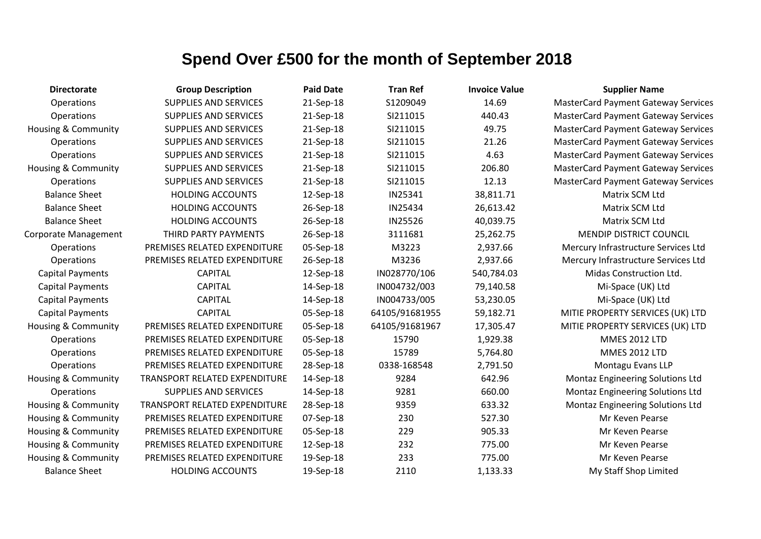| <b>Directorate</b>             | <b>Group Description</b>      | <b>Paid Date</b> | <b>Tran Ref</b> | <b>Invoice Value</b> | <b>Supplier Name</b>                       |
|--------------------------------|-------------------------------|------------------|-----------------|----------------------|--------------------------------------------|
| Operations                     | <b>SUPPLIES AND SERVICES</b>  | 21-Sep-18        | S1209049        | 14.69                | <b>MasterCard Payment Gateway Services</b> |
| Operations                     | <b>SUPPLIES AND SERVICES</b>  | 21-Sep-18        | SI211015        | 440.43               | <b>MasterCard Payment Gateway Services</b> |
| Housing & Community            | <b>SUPPLIES AND SERVICES</b>  | 21-Sep-18        | SI211015        | 49.75                | <b>MasterCard Payment Gateway Services</b> |
| Operations                     | <b>SUPPLIES AND SERVICES</b>  | 21-Sep-18        | SI211015        | 21.26                | <b>MasterCard Payment Gateway Services</b> |
| Operations                     | <b>SUPPLIES AND SERVICES</b>  | 21-Sep-18        | SI211015        | 4.63                 | <b>MasterCard Payment Gateway Services</b> |
| <b>Housing &amp; Community</b> | <b>SUPPLIES AND SERVICES</b>  | 21-Sep-18        | SI211015        | 206.80               | <b>MasterCard Payment Gateway Services</b> |
| Operations                     | <b>SUPPLIES AND SERVICES</b>  | 21-Sep-18        | SI211015        | 12.13                | <b>MasterCard Payment Gateway Services</b> |
| <b>Balance Sheet</b>           | <b>HOLDING ACCOUNTS</b>       | 12-Sep-18        | IN25341         | 38,811.71            | Matrix SCM Ltd                             |
| <b>Balance Sheet</b>           | <b>HOLDING ACCOUNTS</b>       | 26-Sep-18        | IN25434         | 26,613.42            | Matrix SCM Ltd                             |
| <b>Balance Sheet</b>           | <b>HOLDING ACCOUNTS</b>       | 26-Sep-18        | IN25526         | 40,039.75            | Matrix SCM Ltd                             |
| Corporate Management           | THIRD PARTY PAYMENTS          | 26-Sep-18        | 3111681         | 25,262.75            | <b>MENDIP DISTRICT COUNCIL</b>             |
| Operations                     | PREMISES RELATED EXPENDITURE  | 05-Sep-18        | M3223           | 2,937.66             | Mercury Infrastructure Services Ltd        |
| Operations                     | PREMISES RELATED EXPENDITURE  | 26-Sep-18        | M3236           | 2,937.66             | Mercury Infrastructure Services Ltd        |
| <b>Capital Payments</b>        | <b>CAPITAL</b>                | 12-Sep-18        | IN028770/106    | 540,784.03           | Midas Construction Ltd.                    |
| <b>Capital Payments</b>        | <b>CAPITAL</b>                | 14-Sep-18        | IN004732/003    | 79,140.58            | Mi-Space (UK) Ltd                          |
| <b>Capital Payments</b>        | <b>CAPITAL</b>                | 14-Sep-18        | IN004733/005    | 53,230.05            | Mi-Space (UK) Ltd                          |
| <b>Capital Payments</b>        | <b>CAPITAL</b>                | 05-Sep-18        | 64105/91681955  | 59,182.71            | MITIE PROPERTY SERVICES (UK) LTD           |
| <b>Housing &amp; Community</b> | PREMISES RELATED EXPENDITURE  | 05-Sep-18        | 64105/91681967  | 17,305.47            | MITIE PROPERTY SERVICES (UK) LTD           |
| Operations                     | PREMISES RELATED EXPENDITURE  | 05-Sep-18        | 15790           | 1,929.38             | <b>MMES 2012 LTD</b>                       |
| Operations                     | PREMISES RELATED EXPENDITURE  | 05-Sep-18        | 15789           | 5,764.80             | <b>MMES 2012 LTD</b>                       |
| Operations                     | PREMISES RELATED EXPENDITURE  | 28-Sep-18        | 0338-168548     | 2,791.50             | Montagu Evans LLP                          |
| <b>Housing &amp; Community</b> | TRANSPORT RELATED EXPENDITURE | 14-Sep-18        | 9284            | 642.96               | Montaz Engineering Solutions Ltd           |
| Operations                     | <b>SUPPLIES AND SERVICES</b>  | 14-Sep-18        | 9281            | 660.00               | <b>Montaz Engineering Solutions Ltd</b>    |
| Housing & Community            | TRANSPORT RELATED EXPENDITURE | 28-Sep-18        | 9359            | 633.32               | Montaz Engineering Solutions Ltd           |
| <b>Housing &amp; Community</b> | PREMISES RELATED EXPENDITURE  | 07-Sep-18        | 230             | 527.30               | Mr Keven Pearse                            |
| <b>Housing &amp; Community</b> | PREMISES RELATED EXPENDITURE  | 05-Sep-18        | 229             | 905.33               | Mr Keven Pearse                            |
| <b>Housing &amp; Community</b> | PREMISES RELATED EXPENDITURE  | 12-Sep-18        | 232             | 775.00               | Mr Keven Pearse                            |
| <b>Housing &amp; Community</b> | PREMISES RELATED EXPENDITURE  | 19-Sep-18        | 233             | 775.00               | Mr Keven Pearse                            |
| <b>Balance Sheet</b>           | <b>HOLDING ACCOUNTS</b>       | 19-Sep-18        | 2110            | 1,133.33             | My Staff Shop Limited                      |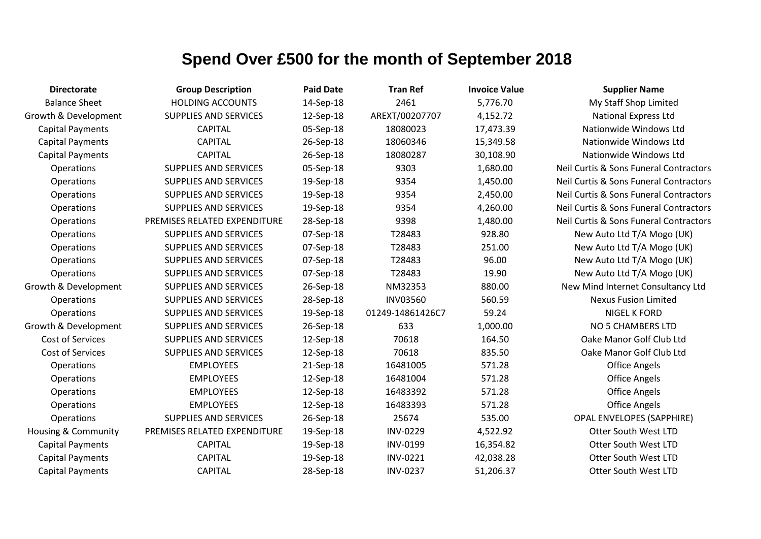| <b>Directorate</b>             | <b>Group Description</b>     | <b>Paid Date</b> | <b>Tran Ref</b>  | <b>Invoice Value</b> | <b>Supplier Name</b>                   |
|--------------------------------|------------------------------|------------------|------------------|----------------------|----------------------------------------|
| <b>Balance Sheet</b>           | <b>HOLDING ACCOUNTS</b>      | 14-Sep-18        | 2461             | 5,776.70             | My Staff Shop Limited                  |
| Growth & Development           | <b>SUPPLIES AND SERVICES</b> | 12-Sep-18        | AREXT/00207707   | 4,152.72             | <b>National Express Ltd</b>            |
| <b>Capital Payments</b>        | <b>CAPITAL</b>               | 05-Sep-18        | 18080023         | 17,473.39            | Nationwide Windows Ltd                 |
| <b>Capital Payments</b>        | <b>CAPITAL</b>               | 26-Sep-18        | 18060346         | 15,349.58            | Nationwide Windows Ltd                 |
| <b>Capital Payments</b>        | <b>CAPITAL</b>               | 26-Sep-18        | 18080287         | 30,108.90            | Nationwide Windows Ltd                 |
| Operations                     | <b>SUPPLIES AND SERVICES</b> | 05-Sep-18        | 9303             | 1,680.00             | Neil Curtis & Sons Funeral Contractors |
| Operations                     | SUPPLIES AND SERVICES        | 19-Sep-18        | 9354             | 1,450.00             | Neil Curtis & Sons Funeral Contractors |
| Operations                     | <b>SUPPLIES AND SERVICES</b> | 19-Sep-18        | 9354             | 2,450.00             | Neil Curtis & Sons Funeral Contractors |
| Operations                     | <b>SUPPLIES AND SERVICES</b> | 19-Sep-18        | 9354             | 4,260.00             | Neil Curtis & Sons Funeral Contractors |
| Operations                     | PREMISES RELATED EXPENDITURE | 28-Sep-18        | 9398             | 1,480.00             | Neil Curtis & Sons Funeral Contractors |
| Operations                     | <b>SUPPLIES AND SERVICES</b> | 07-Sep-18        | T28483           | 928.80               | New Auto Ltd T/A Mogo (UK)             |
| Operations                     | SUPPLIES AND SERVICES        | 07-Sep-18        | T28483           | 251.00               | New Auto Ltd T/A Mogo (UK)             |
| Operations                     | <b>SUPPLIES AND SERVICES</b> | 07-Sep-18        | T28483           | 96.00                | New Auto Ltd T/A Mogo (UK)             |
| Operations                     | <b>SUPPLIES AND SERVICES</b> | 07-Sep-18        | T28483           | 19.90                | New Auto Ltd T/A Mogo (UK)             |
| Growth & Development           | <b>SUPPLIES AND SERVICES</b> | 26-Sep-18        | NM32353          | 880.00               | New Mind Internet Consultancy Ltd      |
| Operations                     | <b>SUPPLIES AND SERVICES</b> | 28-Sep-18        | <b>INV03560</b>  | 560.59               | <b>Nexus Fusion Limited</b>            |
| Operations                     | <b>SUPPLIES AND SERVICES</b> | 19-Sep-18        | 01249-14861426C7 | 59.24                | <b>NIGEL K FORD</b>                    |
| Growth & Development           | <b>SUPPLIES AND SERVICES</b> | 26-Sep-18        | 633              | 1,000.00             | <b>NO 5 CHAMBERS LTD</b>               |
| Cost of Services               | SUPPLIES AND SERVICES        | 12-Sep-18        | 70618            | 164.50               | Oake Manor Golf Club Ltd               |
| Cost of Services               | <b>SUPPLIES AND SERVICES</b> | 12-Sep-18        | 70618            | 835.50               | Oake Manor Golf Club Ltd               |
| Operations                     | <b>EMPLOYEES</b>             | 21-Sep-18        | 16481005         | 571.28               | <b>Office Angels</b>                   |
| Operations                     | <b>EMPLOYEES</b>             | 12-Sep-18        | 16481004         | 571.28               | <b>Office Angels</b>                   |
| Operations                     | <b>EMPLOYEES</b>             | 12-Sep-18        | 16483392         | 571.28               | <b>Office Angels</b>                   |
| Operations                     | <b>EMPLOYEES</b>             | 12-Sep-18        | 16483393         | 571.28               | <b>Office Angels</b>                   |
| Operations                     | <b>SUPPLIES AND SERVICES</b> | 26-Sep-18        | 25674            | 535.00               | <b>OPAL ENVELOPES (SAPPHIRE)</b>       |
| <b>Housing &amp; Community</b> | PREMISES RELATED EXPENDITURE | 19-Sep-18        | <b>INV-0229</b>  | 4,522.92             | <b>Otter South West LTD</b>            |
| <b>Capital Payments</b>        | <b>CAPITAL</b>               | 19-Sep-18        | INV-0199         | 16,354.82            | <b>Otter South West LTD</b>            |
| <b>Capital Payments</b>        | <b>CAPITAL</b>               | 19-Sep-18        | <b>INV-0221</b>  | 42,038.28            | <b>Otter South West LTD</b>            |
| <b>Capital Payments</b>        | <b>CAPITAL</b>               | 28-Sep-18        | <b>INV-0237</b>  | 51,206.37            | <b>Otter South West LTD</b>            |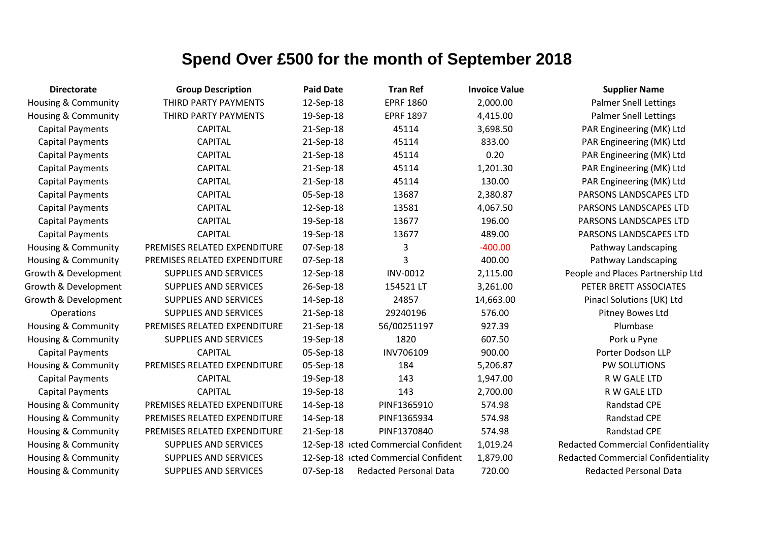| <b>Directorate</b>             | <b>Group Description</b>     | <b>Paid Date</b> | <b>Tran Ref</b>                      | <b>Invoice Value</b> | <b>Supplier Name</b>                       |
|--------------------------------|------------------------------|------------------|--------------------------------------|----------------------|--------------------------------------------|
| Housing & Community            | THIRD PARTY PAYMENTS         | 12-Sep-18        | <b>EPRF 1860</b>                     | 2,000.00             | <b>Palmer Snell Lettings</b>               |
| <b>Housing &amp; Community</b> | THIRD PARTY PAYMENTS         | 19-Sep-18        | <b>EPRF 1897</b>                     | 4,415.00             | <b>Palmer Snell Lettings</b>               |
| <b>Capital Payments</b>        | <b>CAPITAL</b>               | 21-Sep-18        | 45114                                | 3,698.50             | PAR Engineering (MK) Ltd                   |
| <b>Capital Payments</b>        | <b>CAPITAL</b>               | 21-Sep-18        | 45114                                | 833.00               | PAR Engineering (MK) Ltd                   |
| <b>Capital Payments</b>        | <b>CAPITAL</b>               | 21-Sep-18        | 45114                                | 0.20                 | PAR Engineering (MK) Ltd                   |
| <b>Capital Payments</b>        | <b>CAPITAL</b>               | 21-Sep-18        | 45114                                | 1,201.30             | PAR Engineering (MK) Ltd                   |
| <b>Capital Payments</b>        | <b>CAPITAL</b>               | 21-Sep-18        | 45114                                | 130.00               | PAR Engineering (MK) Ltd                   |
| <b>Capital Payments</b>        | <b>CAPITAL</b>               | 05-Sep-18        | 13687                                | 2,380.87             | PARSONS LANDSCAPES LTD                     |
| <b>Capital Payments</b>        | <b>CAPITAL</b>               | 12-Sep-18        | 13581                                | 4,067.50             | PARSONS LANDSCAPES LTD                     |
| <b>Capital Payments</b>        | <b>CAPITAL</b>               | 19-Sep-18        | 13677                                | 196.00               | PARSONS LANDSCAPES LTD                     |
| <b>Capital Payments</b>        | <b>CAPITAL</b>               | 19-Sep-18        | 13677                                | 489.00               | PARSONS LANDSCAPES LTD                     |
| Housing & Community            | PREMISES RELATED EXPENDITURE | 07-Sep-18        | 3                                    | $-400.00$            | Pathway Landscaping                        |
| <b>Housing &amp; Community</b> | PREMISES RELATED EXPENDITURE | 07-Sep-18        | 3                                    | 400.00               | Pathway Landscaping                        |
| Growth & Development           | SUPPLIES AND SERVICES        | 12-Sep-18        | <b>INV-0012</b>                      | 2,115.00             | People and Places Partnership Ltd          |
| Growth & Development           | <b>SUPPLIES AND SERVICES</b> | 26-Sep-18        | 154521LT                             | 3,261.00             | PETER BRETT ASSOCIATES                     |
| Growth & Development           | <b>SUPPLIES AND SERVICES</b> | 14-Sep-18        | 24857                                | 14,663.00            | Pinacl Solutions (UK) Ltd                  |
| Operations                     | SUPPLIES AND SERVICES        | 21-Sep-18        | 29240196                             | 576.00               | Pitney Bowes Ltd                           |
| <b>Housing &amp; Community</b> | PREMISES RELATED EXPENDITURE | 21-Sep-18        | 56/00251197                          | 927.39               | Plumbase                                   |
| Housing & Community            | <b>SUPPLIES AND SERVICES</b> | 19-Sep-18        | 1820                                 | 607.50               | Pork u Pyne                                |
| <b>Capital Payments</b>        | <b>CAPITAL</b>               | 05-Sep-18        | INV706109                            | 900.00               | Porter Dodson LLP                          |
| <b>Housing &amp; Community</b> | PREMISES RELATED EXPENDITURE | 05-Sep-18        | 184                                  | 5,206.87             | PW SOLUTIONS                               |
| <b>Capital Payments</b>        | <b>CAPITAL</b>               | 19-Sep-18        | 143                                  | 1,947.00             | R W GALE LTD                               |
| <b>Capital Payments</b>        | <b>CAPITAL</b>               | 19-Sep-18        | 143                                  | 2,700.00             | R W GALE LTD                               |
| Housing & Community            | PREMISES RELATED EXPENDITURE | 14-Sep-18        | PINF1365910                          | 574.98               | Randstad CPE                               |
| Housing & Community            | PREMISES RELATED EXPENDITURE | 14-Sep-18        | PINF1365934                          | 574.98               | <b>Randstad CPE</b>                        |
| Housing & Community            | PREMISES RELATED EXPENDITURE | 21-Sep-18        | PINF1370840                          | 574.98               | <b>Randstad CPE</b>                        |
| Housing & Community            | SUPPLIES AND SERVICES        |                  | 12-Sep-18 icted Commercial Confident | 1,019.24             | <b>Redacted Commercial Confidentiality</b> |
| <b>Housing &amp; Community</b> | SUPPLIES AND SERVICES        |                  | 12-Sep-18 icted Commercial Confident | 1,879.00             | <b>Redacted Commercial Confidentiality</b> |
| <b>Housing &amp; Community</b> | <b>SUPPLIES AND SERVICES</b> | 07-Sep-18        | <b>Redacted Personal Data</b>        | 720.00               | <b>Redacted Personal Data</b>              |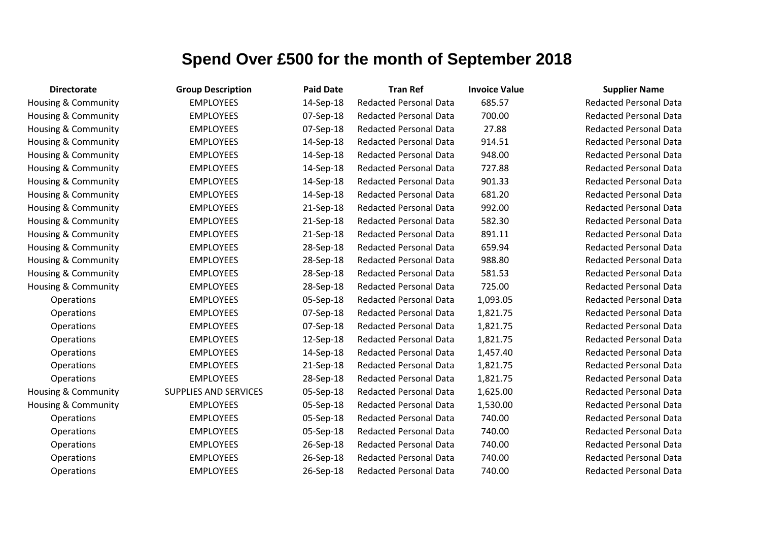| <b>Directorate</b>  | <b>Group Description</b>     | <b>Paid Date</b> | <b>Tran Ref</b>               | <b>Invoice Value</b> | <b>Supplier Name</b>          |
|---------------------|------------------------------|------------------|-------------------------------|----------------------|-------------------------------|
| Housing & Community | <b>EMPLOYEES</b>             | 14-Sep-18        | <b>Redacted Personal Data</b> | 685.57               | <b>Redacted Personal Data</b> |
| Housing & Community | <b>EMPLOYEES</b>             | 07-Sep-18        | <b>Redacted Personal Data</b> | 700.00               | <b>Redacted Personal Data</b> |
| Housing & Community | <b>EMPLOYEES</b>             | 07-Sep-18        | <b>Redacted Personal Data</b> | 27.88                | <b>Redacted Personal Data</b> |
| Housing & Community | <b>EMPLOYEES</b>             | 14-Sep-18        | <b>Redacted Personal Data</b> | 914.51               | <b>Redacted Personal Data</b> |
| Housing & Community | <b>EMPLOYEES</b>             | 14-Sep-18        | <b>Redacted Personal Data</b> | 948.00               | <b>Redacted Personal Data</b> |
| Housing & Community | <b>EMPLOYEES</b>             | 14-Sep-18        | <b>Redacted Personal Data</b> | 727.88               | <b>Redacted Personal Data</b> |
| Housing & Community | <b>EMPLOYEES</b>             | 14-Sep-18        | <b>Redacted Personal Data</b> | 901.33               | <b>Redacted Personal Data</b> |
| Housing & Community | <b>EMPLOYEES</b>             | 14-Sep-18        | <b>Redacted Personal Data</b> | 681.20               | <b>Redacted Personal Data</b> |
| Housing & Community | <b>EMPLOYEES</b>             | 21-Sep-18        | <b>Redacted Personal Data</b> | 992.00               | <b>Redacted Personal Data</b> |
| Housing & Community | <b>EMPLOYEES</b>             | 21-Sep-18        | <b>Redacted Personal Data</b> | 582.30               | <b>Redacted Personal Data</b> |
| Housing & Community | <b>EMPLOYEES</b>             | 21-Sep-18        | <b>Redacted Personal Data</b> | 891.11               | <b>Redacted Personal Data</b> |
| Housing & Community | <b>EMPLOYEES</b>             | 28-Sep-18        | <b>Redacted Personal Data</b> | 659.94               | <b>Redacted Personal Data</b> |
| Housing & Community | <b>EMPLOYEES</b>             | 28-Sep-18        | <b>Redacted Personal Data</b> | 988.80               | <b>Redacted Personal Data</b> |
| Housing & Community | <b>EMPLOYEES</b>             | 28-Sep-18        | <b>Redacted Personal Data</b> | 581.53               | <b>Redacted Personal Data</b> |
| Housing & Community | <b>EMPLOYEES</b>             | 28-Sep-18        | <b>Redacted Personal Data</b> | 725.00               | <b>Redacted Personal Data</b> |
| Operations          | <b>EMPLOYEES</b>             | 05-Sep-18        | <b>Redacted Personal Data</b> | 1,093.05             | <b>Redacted Personal Data</b> |
| Operations          | <b>EMPLOYEES</b>             | 07-Sep-18        | <b>Redacted Personal Data</b> | 1,821.75             | <b>Redacted Personal Data</b> |
| Operations          | <b>EMPLOYEES</b>             | 07-Sep-18        | <b>Redacted Personal Data</b> | 1,821.75             | <b>Redacted Personal Data</b> |
| Operations          | <b>EMPLOYEES</b>             | 12-Sep-18        | <b>Redacted Personal Data</b> | 1,821.75             | <b>Redacted Personal Data</b> |
| Operations          | <b>EMPLOYEES</b>             | 14-Sep-18        | <b>Redacted Personal Data</b> | 1,457.40             | <b>Redacted Personal Data</b> |
| Operations          | <b>EMPLOYEES</b>             | 21-Sep-18        | <b>Redacted Personal Data</b> | 1,821.75             | <b>Redacted Personal Data</b> |
| Operations          | <b>EMPLOYEES</b>             | 28-Sep-18        | <b>Redacted Personal Data</b> | 1,821.75             | <b>Redacted Personal Data</b> |
| Housing & Community | <b>SUPPLIES AND SERVICES</b> | 05-Sep-18        | <b>Redacted Personal Data</b> | 1,625.00             | <b>Redacted Personal Data</b> |
| Housing & Community | <b>EMPLOYEES</b>             | 05-Sep-18        | <b>Redacted Personal Data</b> | 1,530.00             | <b>Redacted Personal Data</b> |
| Operations          | <b>EMPLOYEES</b>             | 05-Sep-18        | <b>Redacted Personal Data</b> | 740.00               | <b>Redacted Personal Data</b> |
| Operations          | <b>EMPLOYEES</b>             | 05-Sep-18        | <b>Redacted Personal Data</b> | 740.00               | <b>Redacted Personal Data</b> |
| Operations          | <b>EMPLOYEES</b>             | 26-Sep-18        | <b>Redacted Personal Data</b> | 740.00               | <b>Redacted Personal Data</b> |
| Operations          | <b>EMPLOYEES</b>             | 26-Sep-18        | <b>Redacted Personal Data</b> | 740.00               | <b>Redacted Personal Data</b> |
| Operations          | <b>EMPLOYEES</b>             | 26-Sep-18        | <b>Redacted Personal Data</b> | 740.00               | <b>Redacted Personal Data</b> |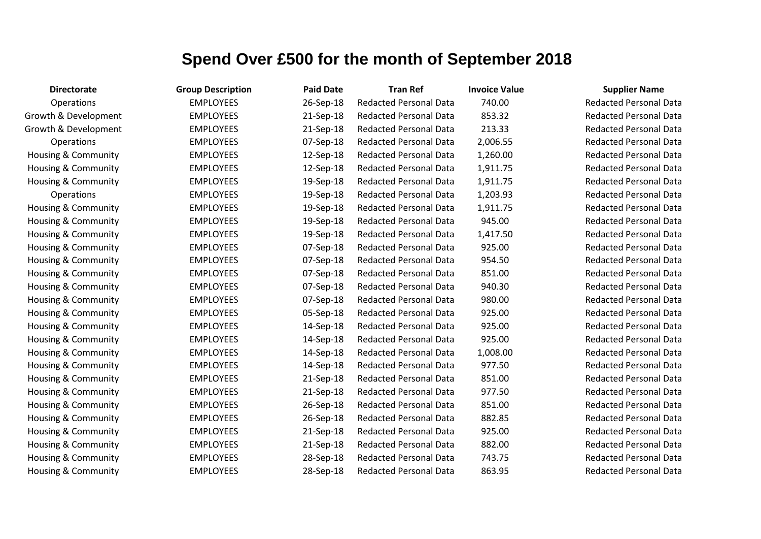| <b>Directorate</b>             | <b>Group Description</b> | <b>Paid Date</b> | <b>Tran Ref</b>               | <b>Invoice Value</b> | <b>Supplier Name</b>     |
|--------------------------------|--------------------------|------------------|-------------------------------|----------------------|--------------------------|
| Operations                     | <b>EMPLOYEES</b>         | 26-Sep-18        | <b>Redacted Personal Data</b> | 740.00               | <b>Redacted Personal</b> |
| Growth & Development           | <b>EMPLOYEES</b>         | 21-Sep-18        | <b>Redacted Personal Data</b> | 853.32               | <b>Redacted Personal</b> |
| Growth & Development           | <b>EMPLOYEES</b>         | 21-Sep-18        | <b>Redacted Personal Data</b> | 213.33               | Redacted Personal        |
| Operations                     | <b>EMPLOYEES</b>         | 07-Sep-18        | <b>Redacted Personal Data</b> | 2,006.55             | <b>Redacted Personal</b> |
| Housing & Community            | <b>EMPLOYEES</b>         | 12-Sep-18        | <b>Redacted Personal Data</b> | 1,260.00             | <b>Redacted Personal</b> |
| Housing & Community            | <b>EMPLOYEES</b>         | 12-Sep-18        | <b>Redacted Personal Data</b> | 1,911.75             | Redacted Personal        |
| Housing & Community            | <b>EMPLOYEES</b>         | 19-Sep-18        | <b>Redacted Personal Data</b> | 1,911.75             | <b>Redacted Personal</b> |
| Operations                     | <b>EMPLOYEES</b>         | 19-Sep-18        | Redacted Personal Data        | 1,203.93             | Redacted Personal        |
| <b>Housing &amp; Community</b> | <b>EMPLOYEES</b>         | 19-Sep-18        | <b>Redacted Personal Data</b> | 1,911.75             | Redacted Personal        |
| Housing & Community            | <b>EMPLOYEES</b>         | 19-Sep-18        | <b>Redacted Personal Data</b> | 945.00               | <b>Redacted Personal</b> |
| Housing & Community            | <b>EMPLOYEES</b>         | 19-Sep-18        | <b>Redacted Personal Data</b> | 1,417.50             | <b>Redacted Personal</b> |
| Housing & Community            | <b>EMPLOYEES</b>         | 07-Sep-18        | <b>Redacted Personal Data</b> | 925.00               | <b>Redacted Personal</b> |
| Housing & Community            | <b>EMPLOYEES</b>         | 07-Sep-18        | <b>Redacted Personal Data</b> | 954.50               | <b>Redacted Personal</b> |
| Housing & Community            | <b>EMPLOYEES</b>         | 07-Sep-18        | <b>Redacted Personal Data</b> | 851.00               | Redacted Personal        |
| Housing & Community            | <b>EMPLOYEES</b>         | 07-Sep-18        | <b>Redacted Personal Data</b> | 940.30               | <b>Redacted Personal</b> |
| Housing & Community            | <b>EMPLOYEES</b>         | 07-Sep-18        | <b>Redacted Personal Data</b> | 980.00               | <b>Redacted Personal</b> |
| Housing & Community            | <b>EMPLOYEES</b>         | 05-Sep-18        | <b>Redacted Personal Data</b> | 925.00               | <b>Redacted Personal</b> |
| Housing & Community            | <b>EMPLOYEES</b>         | 14-Sep-18        | <b>Redacted Personal Data</b> | 925.00               | <b>Redacted Personal</b> |
| Housing & Community            | <b>EMPLOYEES</b>         | 14-Sep-18        | <b>Redacted Personal Data</b> | 925.00               | <b>Redacted Personal</b> |
| Housing & Community            | <b>EMPLOYEES</b>         | 14-Sep-18        | <b>Redacted Personal Data</b> | 1,008.00             | <b>Redacted Personal</b> |
| Housing & Community            | <b>EMPLOYEES</b>         | 14-Sep-18        | <b>Redacted Personal Data</b> | 977.50               | <b>Redacted Personal</b> |
| Housing & Community            | <b>EMPLOYEES</b>         | 21-Sep-18        | <b>Redacted Personal Data</b> | 851.00               | <b>Redacted Personal</b> |
| Housing & Community            | <b>EMPLOYEES</b>         | 21-Sep-18        | <b>Redacted Personal Data</b> | 977.50               | <b>Redacted Personal</b> |
| Housing & Community            | <b>EMPLOYEES</b>         | 26-Sep-18        | <b>Redacted Personal Data</b> | 851.00               | <b>Redacted Personal</b> |
| Housing & Community            | <b>EMPLOYEES</b>         | 26-Sep-18        | <b>Redacted Personal Data</b> | 882.85               | <b>Redacted Personal</b> |
| Housing & Community            | <b>EMPLOYEES</b>         | 21-Sep-18        | <b>Redacted Personal Data</b> | 925.00               | <b>Redacted Personal</b> |
| Housing & Community            | <b>EMPLOYEES</b>         | 21-Sep-18        | <b>Redacted Personal Data</b> | 882.00               | <b>Redacted Personal</b> |
| Housing & Community            | <b>EMPLOYEES</b>         | 28-Sep-18        | <b>Redacted Personal Data</b> | 743.75               | <b>Redacted Personal</b> |
| Housing & Community            | <b>EMPLOYEES</b>         | 28-Sep-18        | <b>Redacted Personal Data</b> | 863.95               | <b>Redacted Personal</b> |

**Redacted Personal Data** Redacted Personal Data Redacted Personal Data Redacted Personal Data Redacted Personal Data Redacted Personal Data **Redacted Personal Data** Redacted Personal Data Redacted Personal Data Redacted Personal Data Redacted Personal Data Redacted Personal Data Redacted Personal Data Redacted Personal Data Redacted Personal Data Redacted Personal Data Redacted Personal Data Redacted Personal Data Redacted Personal Data Redacted Personal Data Redacted Personal Data Redacted Personal Data Redacted Personal Data Redacted Personal Data Redacted Personal Data Redacted Personal Data Redacted Personal Data

Redacted Personal Data

**Redacted Personal Data**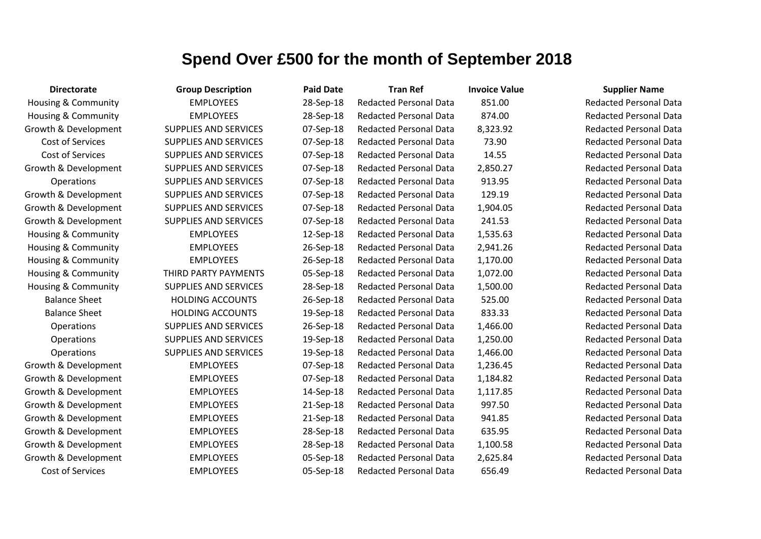| <b>Directorate</b>             | <b>Group Description</b>     | <b>Paid Date</b> | <b>Tran Ref</b>               | <b>Invoice Value</b> | <b>Supplier Name</b>          |
|--------------------------------|------------------------------|------------------|-------------------------------|----------------------|-------------------------------|
| <b>Housing &amp; Community</b> | <b>EMPLOYEES</b>             | 28-Sep-18        | <b>Redacted Personal Data</b> | 851.00               | <b>Redacted Personal Data</b> |
| <b>Housing &amp; Community</b> | <b>EMPLOYEES</b>             | 28-Sep-18        | <b>Redacted Personal Data</b> | 874.00               | <b>Redacted Personal Data</b> |
| Growth & Development           | SUPPLIES AND SERVICES        | 07-Sep-18        | <b>Redacted Personal Data</b> | 8,323.92             | <b>Redacted Personal Data</b> |
| Cost of Services               | SUPPLIES AND SERVICES        | 07-Sep-18        | <b>Redacted Personal Data</b> | 73.90                | <b>Redacted Personal Data</b> |
| Cost of Services               | SUPPLIES AND SERVICES        | 07-Sep-18        | <b>Redacted Personal Data</b> | 14.55                | <b>Redacted Personal Data</b> |
| Growth & Development           | <b>SUPPLIES AND SERVICES</b> | 07-Sep-18        | <b>Redacted Personal Data</b> | 2,850.27             | <b>Redacted Personal Data</b> |
| Operations                     | SUPPLIES AND SERVICES        | 07-Sep-18        | <b>Redacted Personal Data</b> | 913.95               | <b>Redacted Personal Data</b> |
| Growth & Development           | SUPPLIES AND SERVICES        | 07-Sep-18        | <b>Redacted Personal Data</b> | 129.19               | <b>Redacted Personal Data</b> |
| Growth & Development           | SUPPLIES AND SERVICES        | 07-Sep-18        | <b>Redacted Personal Data</b> | 1,904.05             | <b>Redacted Personal Data</b> |
| Growth & Development           | SUPPLIES AND SERVICES        | 07-Sep-18        | <b>Redacted Personal Data</b> | 241.53               | <b>Redacted Personal Data</b> |
| <b>Housing &amp; Community</b> | <b>EMPLOYEES</b>             | 12-Sep-18        | <b>Redacted Personal Data</b> | 1,535.63             | <b>Redacted Personal Data</b> |
| <b>Housing &amp; Community</b> | <b>EMPLOYEES</b>             | 26-Sep-18        | <b>Redacted Personal Data</b> | 2,941.26             | <b>Redacted Personal Data</b> |
| Housing & Community            | <b>EMPLOYEES</b>             | 26-Sep-18        | <b>Redacted Personal Data</b> | 1,170.00             | <b>Redacted Personal Data</b> |
| <b>Housing &amp; Community</b> | THIRD PARTY PAYMENTS         | 05-Sep-18        | <b>Redacted Personal Data</b> | 1,072.00             | <b>Redacted Personal Data</b> |
| <b>Housing &amp; Community</b> | SUPPLIES AND SERVICES        | 28-Sep-18        | <b>Redacted Personal Data</b> | 1,500.00             | <b>Redacted Personal Data</b> |
| <b>Balance Sheet</b>           | <b>HOLDING ACCOUNTS</b>      | 26-Sep-18        | <b>Redacted Personal Data</b> | 525.00               | <b>Redacted Personal Data</b> |
| <b>Balance Sheet</b>           | <b>HOLDING ACCOUNTS</b>      | 19-Sep-18        | <b>Redacted Personal Data</b> | 833.33               | <b>Redacted Personal Data</b> |
| Operations                     | SUPPLIES AND SERVICES        | 26-Sep-18        | <b>Redacted Personal Data</b> | 1,466.00             | <b>Redacted Personal Data</b> |
| Operations                     | SUPPLIES AND SERVICES        | 19-Sep-18        | <b>Redacted Personal Data</b> | 1,250.00             | <b>Redacted Personal Data</b> |
| <b>Operations</b>              | <b>SUPPLIES AND SERVICES</b> | 19-Sep-18        | <b>Redacted Personal Data</b> | 1,466.00             | <b>Redacted Personal Data</b> |
| Growth & Development           | <b>EMPLOYEES</b>             | 07-Sep-18        | <b>Redacted Personal Data</b> | 1,236.45             | <b>Redacted Personal Data</b> |
| Growth & Development           | <b>EMPLOYEES</b>             | 07-Sep-18        | Redacted Personal Data        | 1,184.82             | <b>Redacted Personal Data</b> |
| Growth & Development           | <b>EMPLOYEES</b>             | 14-Sep-18        | <b>Redacted Personal Data</b> | 1,117.85             | <b>Redacted Personal Data</b> |
| Growth & Development           | <b>EMPLOYEES</b>             | 21-Sep-18        | <b>Redacted Personal Data</b> | 997.50               | <b>Redacted Personal Data</b> |
| Growth & Development           | <b>EMPLOYEES</b>             | 21-Sep-18        | <b>Redacted Personal Data</b> | 941.85               | <b>Redacted Personal Data</b> |
| Growth & Development           | <b>EMPLOYEES</b>             | 28-Sep-18        | <b>Redacted Personal Data</b> | 635.95               | <b>Redacted Personal Data</b> |
| Growth & Development           | <b>EMPLOYEES</b>             | 28-Sep-18        | Redacted Personal Data        | 1,100.58             | <b>Redacted Personal Data</b> |
| Growth & Development           | <b>EMPLOYEES</b>             | 05-Sep-18        | <b>Redacted Personal Data</b> | 2,625.84             | <b>Redacted Personal Data</b> |
| Cost of Services               | <b>EMPLOYEES</b>             | 05-Sep-18        | <b>Redacted Personal Data</b> | 656.49               | <b>Redacted Personal Data</b> |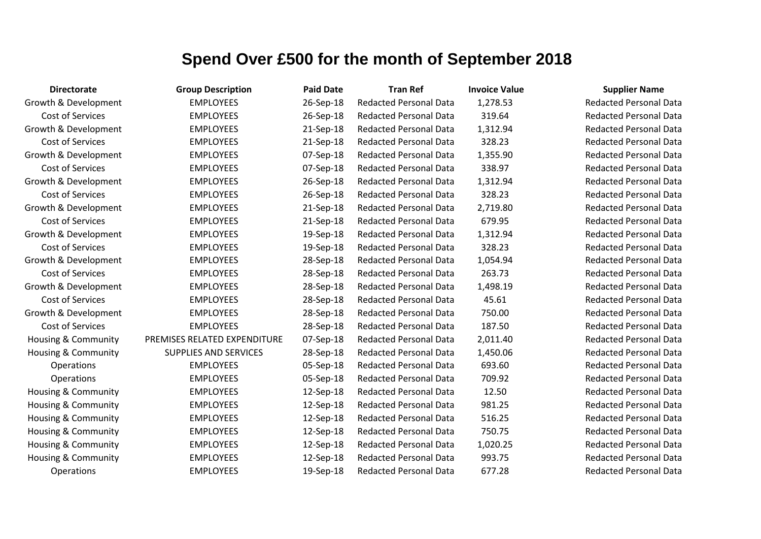| <b>Directorate</b>             | <b>Group Description</b>     | <b>Paid Date</b> | <b>Tran Ref</b>               | <b>Invoice Value</b> | <b>Supplier Name</b>     |
|--------------------------------|------------------------------|------------------|-------------------------------|----------------------|--------------------------|
| Growth & Development           | <b>EMPLOYEES</b>             | 26-Sep-18        | <b>Redacted Personal Data</b> | 1,278.53             | <b>Redacted Personal</b> |
| Cost of Services               | <b>EMPLOYEES</b>             | 26-Sep-18        | <b>Redacted Personal Data</b> | 319.64               | <b>Redacted Personal</b> |
| Growth & Development           | <b>EMPLOYEES</b>             | 21-Sep-18        | Redacted Personal Data        | 1,312.94             | Redacted Personal        |
| Cost of Services               | <b>EMPLOYEES</b>             | 21-Sep-18        | <b>Redacted Personal Data</b> | 328.23               | <b>Redacted Personal</b> |
| Growth & Development           | <b>EMPLOYEES</b>             | 07-Sep-18        | <b>Redacted Personal Data</b> | 1,355.90             | <b>Redacted Personal</b> |
| Cost of Services               | <b>EMPLOYEES</b>             | 07-Sep-18        | <b>Redacted Personal Data</b> | 338.97               | <b>Redacted Personal</b> |
| Growth & Development           | <b>EMPLOYEES</b>             | 26-Sep-18        | <b>Redacted Personal Data</b> | 1,312.94             | <b>Redacted Personal</b> |
| Cost of Services               | <b>EMPLOYEES</b>             | 26-Sep-18        | <b>Redacted Personal Data</b> | 328.23               | <b>Redacted Personal</b> |
| Growth & Development           | <b>EMPLOYEES</b>             | 21-Sep-18        | <b>Redacted Personal Data</b> | 2,719.80             | <b>Redacted Personal</b> |
| Cost of Services               | <b>EMPLOYEES</b>             | 21-Sep-18        | <b>Redacted Personal Data</b> | 679.95               | <b>Redacted Personal</b> |
| Growth & Development           | <b>EMPLOYEES</b>             | 19-Sep-18        | <b>Redacted Personal Data</b> | 1,312.94             | <b>Redacted Personal</b> |
| Cost of Services               | <b>EMPLOYEES</b>             | 19-Sep-18        | <b>Redacted Personal Data</b> | 328.23               | <b>Redacted Personal</b> |
| Growth & Development           | <b>EMPLOYEES</b>             | 28-Sep-18        | <b>Redacted Personal Data</b> | 1,054.94             | <b>Redacted Personal</b> |
| Cost of Services               | <b>EMPLOYEES</b>             | 28-Sep-18        | <b>Redacted Personal Data</b> | 263.73               | <b>Redacted Personal</b> |
| Growth & Development           | <b>EMPLOYEES</b>             | 28-Sep-18        | <b>Redacted Personal Data</b> | 1,498.19             | <b>Redacted Personal</b> |
| Cost of Services               | <b>EMPLOYEES</b>             | 28-Sep-18        | <b>Redacted Personal Data</b> | 45.61                | <b>Redacted Personal</b> |
| Growth & Development           | <b>EMPLOYEES</b>             | 28-Sep-18        | <b>Redacted Personal Data</b> | 750.00               | <b>Redacted Personal</b> |
| Cost of Services               | <b>EMPLOYEES</b>             | 28-Sep-18        | <b>Redacted Personal Data</b> | 187.50               | <b>Redacted Personal</b> |
| <b>Housing &amp; Community</b> | PREMISES RELATED EXPENDITURE | 07-Sep-18        | Redacted Personal Data        | 2,011.40             | <b>Redacted Personal</b> |
| <b>Housing &amp; Community</b> | <b>SUPPLIES AND SERVICES</b> | 28-Sep-18        | <b>Redacted Personal Data</b> | 1,450.06             | <b>Redacted Personal</b> |
| Operations                     | <b>EMPLOYEES</b>             | 05-Sep-18        | <b>Redacted Personal Data</b> | 693.60               | <b>Redacted Personal</b> |
| Operations                     | <b>EMPLOYEES</b>             | 05-Sep-18        | <b>Redacted Personal Data</b> | 709.92               | <b>Redacted Personal</b> |
| <b>Housing &amp; Community</b> | <b>EMPLOYEES</b>             | 12-Sep-18        | <b>Redacted Personal Data</b> | 12.50                | <b>Redacted Personal</b> |
| <b>Housing &amp; Community</b> | <b>EMPLOYEES</b>             | 12-Sep-18        | <b>Redacted Personal Data</b> | 981.25               | <b>Redacted Personal</b> |
| <b>Housing &amp; Community</b> | <b>EMPLOYEES</b>             | 12-Sep-18        | <b>Redacted Personal Data</b> | 516.25               | <b>Redacted Personal</b> |
| Housing & Community            | <b>EMPLOYEES</b>             | 12-Sep-18        | <b>Redacted Personal Data</b> | 750.75               | <b>Redacted Personal</b> |
| <b>Housing &amp; Community</b> | <b>EMPLOYEES</b>             | 12-Sep-18        | <b>Redacted Personal Data</b> | 1,020.25             | <b>Redacted Personal</b> |
| Housing & Community            | <b>EMPLOYEES</b>             | 12-Sep-18        | <b>Redacted Personal Data</b> | 993.75               | <b>Redacted Personal</b> |
| <b>Operations</b>              | <b>EMPLOYEES</b>             | 19-Sep-18        | <b>Redacted Personal Data</b> | 677.28               | <b>Redacted Personal</b> |

**Redacted Personal Data Redacted Personal Data** Redacted Personal Data Redacted Personal Data **Redacted Personal Data Redacted Personal Data** Redacted Personal Data **Redacted Personal Data Redacted Personal Data** Redacted Personal Data **Redacted Personal Data Redacted Personal Data Bedacted Personal Data** Redacted Personal Data **Redacted Personal Data** Redacted Personal Data **Redacted Personal Data** Redacted Personal Data Redacted Personal Data Redacted Personal Data **Redacted Personal Data Redacted Personal Data** Redacted Personal Data Redacted Personal Data Redacted Personal Data Redacted Personal Data Redacted Personal Data Redacted Personal Data **Redacted Personal Data**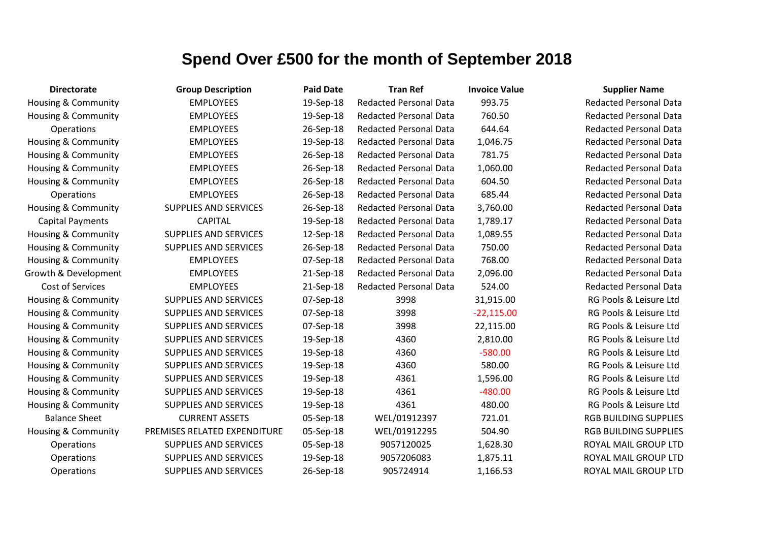| <b>Directorate</b>             | <b>Group Description</b>     | <b>Paid Date</b> | <b>Tran Ref</b>               | <b>Invoice Value</b> | <b>Supplier Name</b>          |
|--------------------------------|------------------------------|------------------|-------------------------------|----------------------|-------------------------------|
| <b>Housing &amp; Community</b> | <b>EMPLOYEES</b>             | 19-Sep-18        | <b>Redacted Personal Data</b> | 993.75               | <b>Redacted Personal Data</b> |
| Housing & Community            | <b>EMPLOYEES</b>             | 19-Sep-18        | <b>Redacted Personal Data</b> | 760.50               | <b>Redacted Personal Data</b> |
| Operations                     | <b>EMPLOYEES</b>             | 26-Sep-18        | <b>Redacted Personal Data</b> | 644.64               | <b>Redacted Personal Data</b> |
| Housing & Community            | <b>EMPLOYEES</b>             | 19-Sep-18        | <b>Redacted Personal Data</b> | 1,046.75             | <b>Redacted Personal Data</b> |
| Housing & Community            | <b>EMPLOYEES</b>             | 26-Sep-18        | <b>Redacted Personal Data</b> | 781.75               | <b>Redacted Personal Data</b> |
| <b>Housing &amp; Community</b> | <b>EMPLOYEES</b>             | 26-Sep-18        | <b>Redacted Personal Data</b> | 1,060.00             | <b>Redacted Personal Data</b> |
| Housing & Community            | <b>EMPLOYEES</b>             | 26-Sep-18        | <b>Redacted Personal Data</b> | 604.50               | <b>Redacted Personal Data</b> |
| Operations                     | <b>EMPLOYEES</b>             | 26-Sep-18        | <b>Redacted Personal Data</b> | 685.44               | <b>Redacted Personal Data</b> |
| Housing & Community            | <b>SUPPLIES AND SERVICES</b> | 26-Sep-18        | <b>Redacted Personal Data</b> | 3,760.00             | <b>Redacted Personal Data</b> |
| <b>Capital Payments</b>        | <b>CAPITAL</b>               | 19-Sep-18        | <b>Redacted Personal Data</b> | 1,789.17             | <b>Redacted Personal Data</b> |
| <b>Housing &amp; Community</b> | <b>SUPPLIES AND SERVICES</b> | 12-Sep-18        | <b>Redacted Personal Data</b> | 1,089.55             | <b>Redacted Personal Data</b> |
| Housing & Community            | <b>SUPPLIES AND SERVICES</b> | 26-Sep-18        | <b>Redacted Personal Data</b> | 750.00               | <b>Redacted Personal Data</b> |
| <b>Housing &amp; Community</b> | <b>EMPLOYEES</b>             | 07-Sep-18        | <b>Redacted Personal Data</b> | 768.00               | <b>Redacted Personal Data</b> |
| Growth & Development           | <b>EMPLOYEES</b>             | 21-Sep-18        | <b>Redacted Personal Data</b> | 2,096.00             | <b>Redacted Personal Data</b> |
| Cost of Services               | <b>EMPLOYEES</b>             | 21-Sep-18        | <b>Redacted Personal Data</b> | 524.00               | <b>Redacted Personal Data</b> |
| Housing & Community            | <b>SUPPLIES AND SERVICES</b> | 07-Sep-18        | 3998                          | 31,915.00            | RG Pools & Leisure Ltd        |
| <b>Housing &amp; Community</b> | <b>SUPPLIES AND SERVICES</b> | 07-Sep-18        | 3998                          | $-22,115.00$         | RG Pools & Leisure Ltd        |
| Housing & Community            | SUPPLIES AND SERVICES        | 07-Sep-18        | 3998                          | 22,115.00            | RG Pools & Leisure Ltd        |
| Housing & Community            | <b>SUPPLIES AND SERVICES</b> | 19-Sep-18        | 4360                          | 2,810.00             | RG Pools & Leisure Ltd        |
| Housing & Community            | <b>SUPPLIES AND SERVICES</b> | 19-Sep-18        | 4360                          | $-580.00$            | RG Pools & Leisure Ltd        |
| <b>Housing &amp; Community</b> | <b>SUPPLIES AND SERVICES</b> | 19-Sep-18        | 4360                          | 580.00               | RG Pools & Leisure Ltd        |
| <b>Housing &amp; Community</b> | <b>SUPPLIES AND SERVICES</b> | 19-Sep-18        | 4361                          | 1,596.00             | RG Pools & Leisure Ltd        |
| Housing & Community            | <b>SUPPLIES AND SERVICES</b> | 19-Sep-18        | 4361                          | $-480.00$            | RG Pools & Leisure Ltd        |
| Housing & Community            | <b>SUPPLIES AND SERVICES</b> | 19-Sep-18        | 4361                          | 480.00               | RG Pools & Leisure Ltd        |
| <b>Balance Sheet</b>           | <b>CURRENT ASSETS</b>        | 05-Sep-18        | WEL/01912397                  | 721.01               | <b>RGB BUILDING SUPPLIES</b>  |
| Housing & Community            | PREMISES RELATED EXPENDITURE | 05-Sep-18        | WEL/01912295                  | 504.90               | <b>RGB BUILDING SUPPLIES</b>  |
| Operations                     | <b>SUPPLIES AND SERVICES</b> | 05-Sep-18        | 9057120025                    | 1,628.30             | <b>ROYAL MAIL GROUP LTD</b>   |
| Operations                     | <b>SUPPLIES AND SERVICES</b> | 19-Sep-18        | 9057206083                    | 1,875.11             | ROYAL MAIL GROUP LTD          |
| Operations                     | <b>SUPPLIES AND SERVICES</b> | 26-Sep-18        | 905724914                     | 1,166.53             | ROYAL MAIL GROUP LTD          |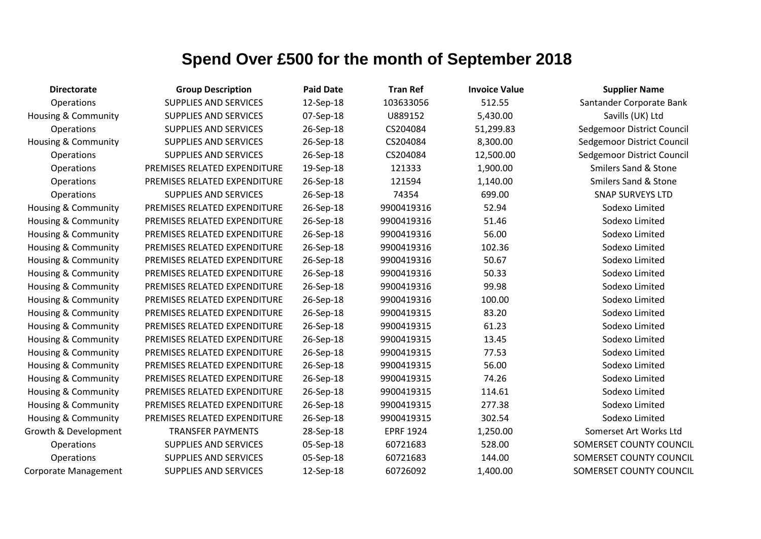| <b>Directorate</b>             | <b>Group Description</b>     | <b>Paid Date</b> | <b>Tran Ref</b>  | <b>Invoice Value</b> | <b>Supplier Name</b>            |
|--------------------------------|------------------------------|------------------|------------------|----------------------|---------------------------------|
| Operations                     | <b>SUPPLIES AND SERVICES</b> | 12-Sep-18        | 103633056        | 512.55               | Santander Corporate Bank        |
| <b>Housing &amp; Community</b> | SUPPLIES AND SERVICES        | 07-Sep-18        | U889152          | 5,430.00             | Savills (UK) Ltd                |
| Operations                     | SUPPLIES AND SERVICES        | 26-Sep-18        | CS204084         | 51,299.83            | Sedgemoor District Council      |
| <b>Housing &amp; Community</b> | SUPPLIES AND SERVICES        | 26-Sep-18        | CS204084         | 8,300.00             | Sedgemoor District Council      |
| Operations                     | SUPPLIES AND SERVICES        | 26-Sep-18        | CS204084         | 12,500.00            | Sedgemoor District Council      |
| Operations                     | PREMISES RELATED EXPENDITURE | 19-Sep-18        | 121333           | 1,900.00             | <b>Smilers Sand &amp; Stone</b> |
| Operations                     | PREMISES RELATED EXPENDITURE | 26-Sep-18        | 121594           | 1,140.00             | <b>Smilers Sand &amp; Stone</b> |
| Operations                     | SUPPLIES AND SERVICES        | 26-Sep-18        | 74354            | 699.00               | <b>SNAP SURVEYS LTD</b>         |
| <b>Housing &amp; Community</b> | PREMISES RELATED EXPENDITURE | 26-Sep-18        | 9900419316       | 52.94                | Sodexo Limited                  |
| <b>Housing &amp; Community</b> | PREMISES RELATED EXPENDITURE | 26-Sep-18        | 9900419316       | 51.46                | Sodexo Limited                  |
| Housing & Community            | PREMISES RELATED EXPENDITURE | 26-Sep-18        | 9900419316       | 56.00                | Sodexo Limited                  |
| Housing & Community            | PREMISES RELATED EXPENDITURE | 26-Sep-18        | 9900419316       | 102.36               | Sodexo Limited                  |
| Housing & Community            | PREMISES RELATED EXPENDITURE | 26-Sep-18        | 9900419316       | 50.67                | Sodexo Limited                  |
| Housing & Community            | PREMISES RELATED EXPENDITURE | 26-Sep-18        | 9900419316       | 50.33                | Sodexo Limited                  |
| Housing & Community            | PREMISES RELATED EXPENDITURE | 26-Sep-18        | 9900419316       | 99.98                | Sodexo Limited                  |
| <b>Housing &amp; Community</b> | PREMISES RELATED EXPENDITURE | 26-Sep-18        | 9900419316       | 100.00               | Sodexo Limited                  |
| Housing & Community            | PREMISES RELATED EXPENDITURE | 26-Sep-18        | 9900419315       | 83.20                | Sodexo Limited                  |
| Housing & Community            | PREMISES RELATED EXPENDITURE | 26-Sep-18        | 9900419315       | 61.23                | Sodexo Limited                  |
| Housing & Community            | PREMISES RELATED EXPENDITURE | 26-Sep-18        | 9900419315       | 13.45                | Sodexo Limited                  |
| Housing & Community            | PREMISES RELATED EXPENDITURE | 26-Sep-18        | 9900419315       | 77.53                | Sodexo Limited                  |
| <b>Housing &amp; Community</b> | PREMISES RELATED EXPENDITURE | 26-Sep-18        | 9900419315       | 56.00                | Sodexo Limited                  |
| Housing & Community            | PREMISES RELATED EXPENDITURE | 26-Sep-18        | 9900419315       | 74.26                | Sodexo Limited                  |
| Housing & Community            | PREMISES RELATED EXPENDITURE | 26-Sep-18        | 9900419315       | 114.61               | Sodexo Limited                  |
| Housing & Community            | PREMISES RELATED EXPENDITURE | 26-Sep-18        | 9900419315       | 277.38               | Sodexo Limited                  |
| <b>Housing &amp; Community</b> | PREMISES RELATED EXPENDITURE | 26-Sep-18        | 9900419315       | 302.54               | Sodexo Limited                  |
| Growth & Development           | <b>TRANSFER PAYMENTS</b>     | 28-Sep-18        | <b>EPRF 1924</b> | 1,250.00             | Somerset Art Works Ltd          |
| Operations                     | SUPPLIES AND SERVICES        | 05-Sep-18        | 60721683         | 528.00               | SOMERSET COUNTY COUNCIL         |
| Operations                     | SUPPLIES AND SERVICES        | 05-Sep-18        | 60721683         | 144.00               | SOMERSET COUNTY COUNCIL         |
| Corporate Management           | <b>SUPPLIES AND SERVICES</b> | 12-Sep-18        | 60726092         | 1,400.00             | SOMERSET COUNTY COUNCIL         |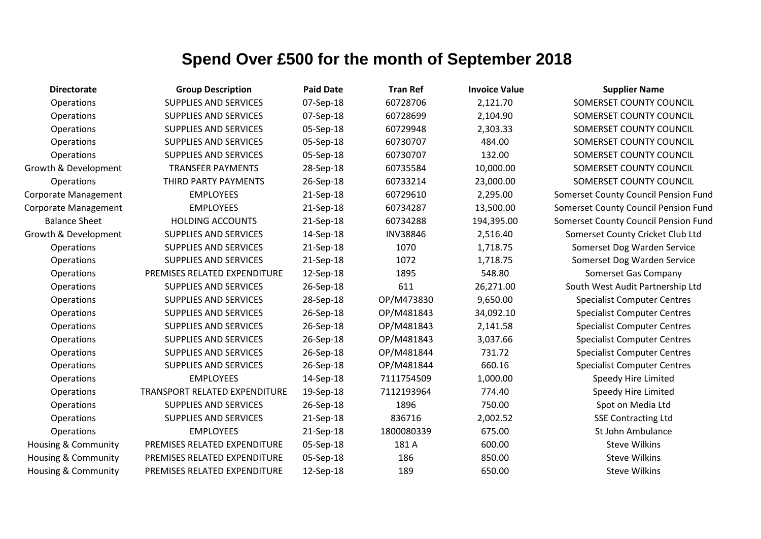| <b>Directorate</b>             | <b>Group Description</b>      | <b>Paid Date</b> | <b>Tran Ref</b> | <b>Invoice Value</b> | <b>Supplier Name</b>                 |
|--------------------------------|-------------------------------|------------------|-----------------|----------------------|--------------------------------------|
| Operations                     | <b>SUPPLIES AND SERVICES</b>  | 07-Sep-18        | 60728706        | 2,121.70             | SOMERSET COUNTY COUNCIL              |
| Operations                     | <b>SUPPLIES AND SERVICES</b>  | 07-Sep-18        | 60728699        | 2,104.90             | SOMERSET COUNTY COUNCIL              |
| Operations                     | SUPPLIES AND SERVICES         | 05-Sep-18        | 60729948        | 2,303.33             | SOMERSET COUNTY COUNCIL              |
| Operations                     | SUPPLIES AND SERVICES         | 05-Sep-18        | 60730707        | 484.00               | SOMERSET COUNTY COUNCIL              |
| Operations                     | <b>SUPPLIES AND SERVICES</b>  | 05-Sep-18        | 60730707        | 132.00               | SOMERSET COUNTY COUNCIL              |
| Growth & Development           | <b>TRANSFER PAYMENTS</b>      | 28-Sep-18        | 60735584        | 10,000.00            | SOMERSET COUNTY COUNCIL              |
| Operations                     | THIRD PARTY PAYMENTS          | 26-Sep-18        | 60733214        | 23,000.00            | SOMERSET COUNTY COUNCIL              |
| <b>Corporate Management</b>    | <b>EMPLOYEES</b>              | 21-Sep-18        | 60729610        | 2,295.00             | Somerset County Council Pension Fund |
| <b>Corporate Management</b>    | <b>EMPLOYEES</b>              | 21-Sep-18        | 60734287        | 13,500.00            | Somerset County Council Pension Fund |
| <b>Balance Sheet</b>           | <b>HOLDING ACCOUNTS</b>       | 21-Sep-18        | 60734288        | 194,395.00           | Somerset County Council Pension Fund |
| Growth & Development           | SUPPLIES AND SERVICES         | 14-Sep-18        | <b>INV38846</b> | 2,516.40             | Somerset County Cricket Club Ltd     |
| Operations                     | <b>SUPPLIES AND SERVICES</b>  | 21-Sep-18        | 1070            | 1,718.75             | Somerset Dog Warden Service          |
| Operations                     | SUPPLIES AND SERVICES         | 21-Sep-18        | 1072            | 1,718.75             | Somerset Dog Warden Service          |
| Operations                     | PREMISES RELATED EXPENDITURE  | 12-Sep-18        | 1895            | 548.80               | Somerset Gas Company                 |
| Operations                     | SUPPLIES AND SERVICES         | 26-Sep-18        | 611             | 26,271.00            | South West Audit Partnership Ltd     |
| Operations                     | <b>SUPPLIES AND SERVICES</b>  | 28-Sep-18        | OP/M473830      | 9,650.00             | <b>Specialist Computer Centres</b>   |
| Operations                     | SUPPLIES AND SERVICES         | 26-Sep-18        | OP/M481843      | 34,092.10            | <b>Specialist Computer Centres</b>   |
| Operations                     | SUPPLIES AND SERVICES         | 26-Sep-18        | OP/M481843      | 2,141.58             | <b>Specialist Computer Centres</b>   |
| Operations                     | SUPPLIES AND SERVICES         | 26-Sep-18        | OP/M481843      | 3,037.66             | <b>Specialist Computer Centres</b>   |
| Operations                     | SUPPLIES AND SERVICES         | 26-Sep-18        | OP/M481844      | 731.72               | <b>Specialist Computer Centres</b>   |
| Operations                     | SUPPLIES AND SERVICES         | 26-Sep-18        | OP/M481844      | 660.16               | <b>Specialist Computer Centres</b>   |
| Operations                     | <b>EMPLOYEES</b>              | 14-Sep-18        | 7111754509      | 1,000.00             | Speedy Hire Limited                  |
| Operations                     | TRANSPORT RELATED EXPENDITURE | 19-Sep-18        | 7112193964      | 774.40               | Speedy Hire Limited                  |
| Operations                     | SUPPLIES AND SERVICES         | 26-Sep-18        | 1896            | 750.00               | Spot on Media Ltd                    |
| Operations                     | SUPPLIES AND SERVICES         | 21-Sep-18        | 836716          | 2,002.52             | <b>SSE Contracting Ltd</b>           |
| Operations                     | <b>EMPLOYEES</b>              | 21-Sep-18        | 1800080339      | 675.00               | St John Ambulance                    |
| Housing & Community            | PREMISES RELATED EXPENDITURE  | 05-Sep-18        | 181 A           | 600.00               | <b>Steve Wilkins</b>                 |
| Housing & Community            | PREMISES RELATED EXPENDITURE  | 05-Sep-18        | 186             | 850.00               | <b>Steve Wilkins</b>                 |
| <b>Housing &amp; Community</b> | PREMISES RELATED EXPENDITURE  | 12-Sep-18        | 189             | 650.00               | <b>Steve Wilkins</b>                 |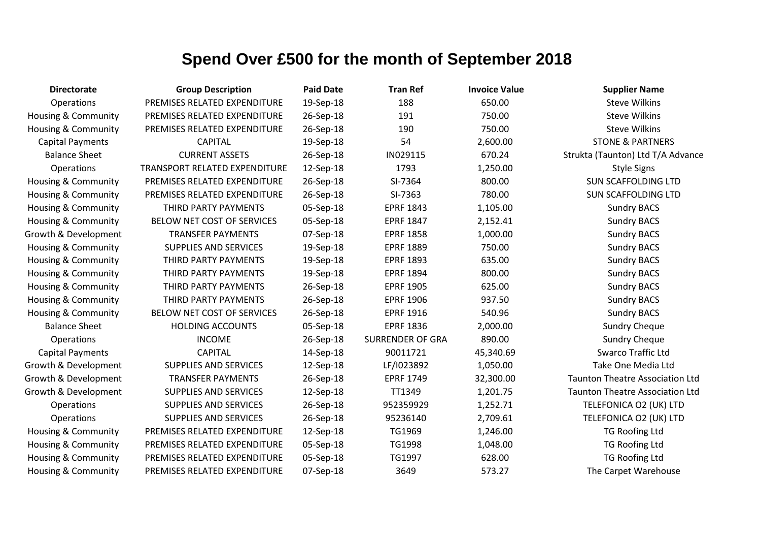| <b>Directorate</b>             | <b>Group Description</b>      | <b>Paid Date</b> | <b>Tran Ref</b>         | <b>Invoice Value</b> | <b>Supplier Name</b>                   |
|--------------------------------|-------------------------------|------------------|-------------------------|----------------------|----------------------------------------|
| Operations                     | PREMISES RELATED EXPENDITURE  | 19-Sep-18        | 188                     | 650.00               | <b>Steve Wilkins</b>                   |
| <b>Housing &amp; Community</b> | PREMISES RELATED EXPENDITURE  | 26-Sep-18        | 191                     | 750.00               | <b>Steve Wilkins</b>                   |
| Housing & Community            | PREMISES RELATED EXPENDITURE  | 26-Sep-18        | 190                     | 750.00               | <b>Steve Wilkins</b>                   |
| <b>Capital Payments</b>        | <b>CAPITAL</b>                | 19-Sep-18        | 54                      | 2,600.00             | <b>STONE &amp; PARTNERS</b>            |
| <b>Balance Sheet</b>           | <b>CURRENT ASSETS</b>         | 26-Sep-18        | IN029115                | 670.24               | Strukta (Taunton) Ltd T/A Advance      |
| Operations                     | TRANSPORT RELATED EXPENDITURE | 12-Sep-18        | 1793                    | 1,250.00             | <b>Style Signs</b>                     |
| Housing & Community            | PREMISES RELATED EXPENDITURE  | 26-Sep-18        | SI-7364                 | 800.00               | <b>SUN SCAFFOLDING LTD</b>             |
| Housing & Community            | PREMISES RELATED EXPENDITURE  | 26-Sep-18        | SI-7363                 | 780.00               | <b>SUN SCAFFOLDING LTD</b>             |
| Housing & Community            | THIRD PARTY PAYMENTS          | 05-Sep-18        | <b>EPRF 1843</b>        | 1,105.00             | <b>Sundry BACS</b>                     |
| <b>Housing &amp; Community</b> | BELOW NET COST OF SERVICES    | 05-Sep-18        | <b>EPRF 1847</b>        | 2,152.41             | <b>Sundry BACS</b>                     |
| Growth & Development           | <b>TRANSFER PAYMENTS</b>      | 07-Sep-18        | <b>EPRF 1858</b>        | 1,000.00             | <b>Sundry BACS</b>                     |
| <b>Housing &amp; Community</b> | <b>SUPPLIES AND SERVICES</b>  | 19-Sep-18        | <b>EPRF 1889</b>        | 750.00               | <b>Sundry BACS</b>                     |
| Housing & Community            | THIRD PARTY PAYMENTS          | 19-Sep-18        | <b>EPRF 1893</b>        | 635.00               | <b>Sundry BACS</b>                     |
| <b>Housing &amp; Community</b> | THIRD PARTY PAYMENTS          | 19-Sep-18        | <b>EPRF 1894</b>        | 800.00               | <b>Sundry BACS</b>                     |
| Housing & Community            | THIRD PARTY PAYMENTS          | 26-Sep-18        | <b>EPRF 1905</b>        | 625.00               | <b>Sundry BACS</b>                     |
| <b>Housing &amp; Community</b> | THIRD PARTY PAYMENTS          | 26-Sep-18        | <b>EPRF 1906</b>        | 937.50               | <b>Sundry BACS</b>                     |
| Housing & Community            | BELOW NET COST OF SERVICES    | 26-Sep-18        | <b>EPRF 1916</b>        | 540.96               | <b>Sundry BACS</b>                     |
| <b>Balance Sheet</b>           | <b>HOLDING ACCOUNTS</b>       | 05-Sep-18        | <b>EPRF 1836</b>        | 2,000.00             | <b>Sundry Cheque</b>                   |
| Operations                     | <b>INCOME</b>                 | 26-Sep-18        | <b>SURRENDER OF GRA</b> | 890.00               | <b>Sundry Cheque</b>                   |
| <b>Capital Payments</b>        | <b>CAPITAL</b>                | 14-Sep-18        | 90011721                | 45,340.69            | <b>Swarco Traffic Ltd</b>              |
| Growth & Development           | <b>SUPPLIES AND SERVICES</b>  | 12-Sep-18        | LF/I023892              | 1,050.00             | Take One Media Ltd                     |
| Growth & Development           | <b>TRANSFER PAYMENTS</b>      | 26-Sep-18        | <b>EPRF 1749</b>        | 32,300.00            | <b>Taunton Theatre Association Ltd</b> |
| Growth & Development           | <b>SUPPLIES AND SERVICES</b>  | 12-Sep-18        | TT1349                  | 1,201.75             | <b>Taunton Theatre Association Ltd</b> |
| Operations                     | <b>SUPPLIES AND SERVICES</b>  | 26-Sep-18        | 952359929               | 1,252.71             | TELEFONICA O2 (UK) LTD                 |
| Operations                     | <b>SUPPLIES AND SERVICES</b>  | 26-Sep-18        | 95236140                | 2,709.61             | TELEFONICA O2 (UK) LTD                 |
| <b>Housing &amp; Community</b> | PREMISES RELATED EXPENDITURE  | 12-Sep-18        | TG1969                  | 1,246.00             | <b>TG Roofing Ltd</b>                  |
| Housing & Community            | PREMISES RELATED EXPENDITURE  | 05-Sep-18        | TG1998                  | 1,048.00             | <b>TG Roofing Ltd</b>                  |
| <b>Housing &amp; Community</b> | PREMISES RELATED EXPENDITURE  | 05-Sep-18        | TG1997                  | 628.00               | <b>TG Roofing Ltd</b>                  |
| Housing & Community            | PREMISES RELATED EXPENDITURE  | 07-Sep-18        | 3649                    | 573.27               | The Carpet Warehouse                   |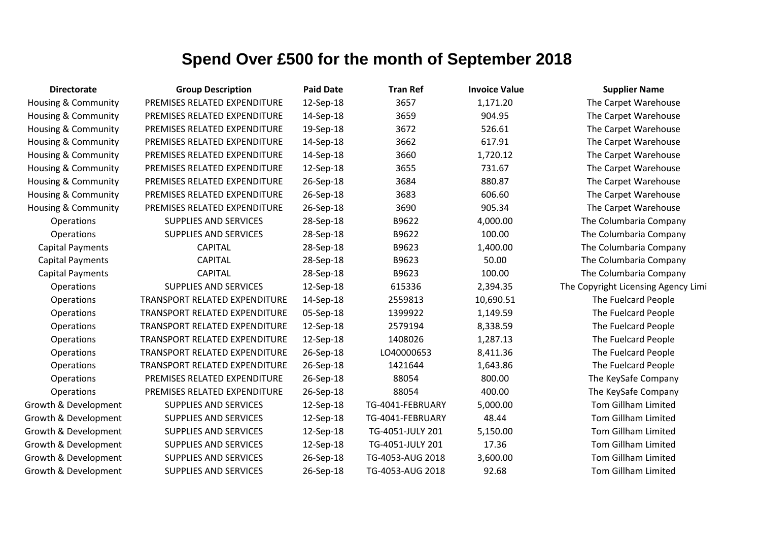| <b>Directorate</b>      | <b>Group Description</b>             | <b>Paid Date</b> | <b>Tran Ref</b>  | <b>Invoice Value</b> | <b>Supplier Name</b>                |
|-------------------------|--------------------------------------|------------------|------------------|----------------------|-------------------------------------|
| Housing & Community     | PREMISES RELATED EXPENDITURE         | 12-Sep-18        | 3657             | 1,171.20             | The Carpet Warehouse                |
| Housing & Community     | PREMISES RELATED EXPENDITURE         | 14-Sep-18        | 3659             | 904.95               | The Carpet Warehouse                |
| Housing & Community     | PREMISES RELATED EXPENDITURE         | 19-Sep-18        | 3672             | 526.61               | The Carpet Warehouse                |
| Housing & Community     | PREMISES RELATED EXPENDITURE         | 14-Sep-18        | 3662             | 617.91               | The Carpet Warehouse                |
| Housing & Community     | PREMISES RELATED EXPENDITURE         | 14-Sep-18        | 3660             | 1,720.12             | The Carpet Warehouse                |
| Housing & Community     | PREMISES RELATED EXPENDITURE         | 12-Sep-18        | 3655             | 731.67               | The Carpet Warehouse                |
| Housing & Community     | PREMISES RELATED EXPENDITURE         | 26-Sep-18        | 3684             | 880.87               | The Carpet Warehouse                |
| Housing & Community     | PREMISES RELATED EXPENDITURE         | 26-Sep-18        | 3683             | 606.60               | The Carpet Warehouse                |
| Housing & Community     | PREMISES RELATED EXPENDITURE         | 26-Sep-18        | 3690             | 905.34               | The Carpet Warehouse                |
| Operations              | <b>SUPPLIES AND SERVICES</b>         | 28-Sep-18        | B9622            | 4,000.00             | The Columbaria Company              |
| Operations              | <b>SUPPLIES AND SERVICES</b>         | 28-Sep-18        | B9622            | 100.00               | The Columbaria Company              |
| Capital Payments        | <b>CAPITAL</b>                       | 28-Sep-18        | B9623            | 1,400.00             | The Columbaria Company              |
| <b>Capital Payments</b> | <b>CAPITAL</b>                       | 28-Sep-18        | B9623            | 50.00                | The Columbaria Company              |
| <b>Capital Payments</b> | <b>CAPITAL</b>                       | 28-Sep-18        | B9623            | 100.00               | The Columbaria Company              |
| Operations              | <b>SUPPLIES AND SERVICES</b>         | 12-Sep-18        | 615336           | 2,394.35             | The Copyright Licensing Agency Limi |
| Operations              | <b>TRANSPORT RELATED EXPENDITURE</b> | 14-Sep-18        | 2559813          | 10,690.51            | The Fuelcard People                 |
| Operations              | TRANSPORT RELATED EXPENDITURE        | 05-Sep-18        | 1399922          | 1,149.59             | The Fuelcard People                 |
| Operations              | TRANSPORT RELATED EXPENDITURE        | 12-Sep-18        | 2579194          | 8,338.59             | The Fuelcard People                 |
| Operations              | <b>TRANSPORT RELATED EXPENDITURE</b> | 12-Sep-18        | 1408026          | 1,287.13             | The Fuelcard People                 |
| Operations              | <b>TRANSPORT RELATED EXPENDITURE</b> | 26-Sep-18        | LO40000653       | 8,411.36             | The Fuelcard People                 |
| Operations              | TRANSPORT RELATED EXPENDITURE        | 26-Sep-18        | 1421644          | 1,643.86             | The Fuelcard People                 |
| Operations              | PREMISES RELATED EXPENDITURE         | 26-Sep-18        | 88054            | 800.00               | The KeySafe Company                 |
| Operations              | PREMISES RELATED EXPENDITURE         | 26-Sep-18        | 88054            | 400.00               | The KeySafe Company                 |
| Growth & Development    | <b>SUPPLIES AND SERVICES</b>         | 12-Sep-18        | TG-4041-FEBRUARY | 5,000.00             | <b>Tom Gillham Limited</b>          |
| Growth & Development    | <b>SUPPLIES AND SERVICES</b>         | 12-Sep-18        | TG-4041-FEBRUARY | 48.44                | Tom Gillham Limited                 |
| Growth & Development    | <b>SUPPLIES AND SERVICES</b>         | 12-Sep-18        | TG-4051-JULY 201 | 5,150.00             | <b>Tom Gillham Limited</b>          |
| Growth & Development    | <b>SUPPLIES AND SERVICES</b>         | 12-Sep-18        | TG-4051-JULY 201 | 17.36                | Tom Gillham Limited                 |
| Growth & Development    | <b>SUPPLIES AND SERVICES</b>         | 26-Sep-18        | TG-4053-AUG 2018 | 3,600.00             | <b>Tom Gillham Limited</b>          |
| Growth & Development    | <b>SUPPLIES AND SERVICES</b>         | 26-Sep-18        | TG-4053-AUG 2018 | 92.68                | <b>Tom Gillham Limited</b>          |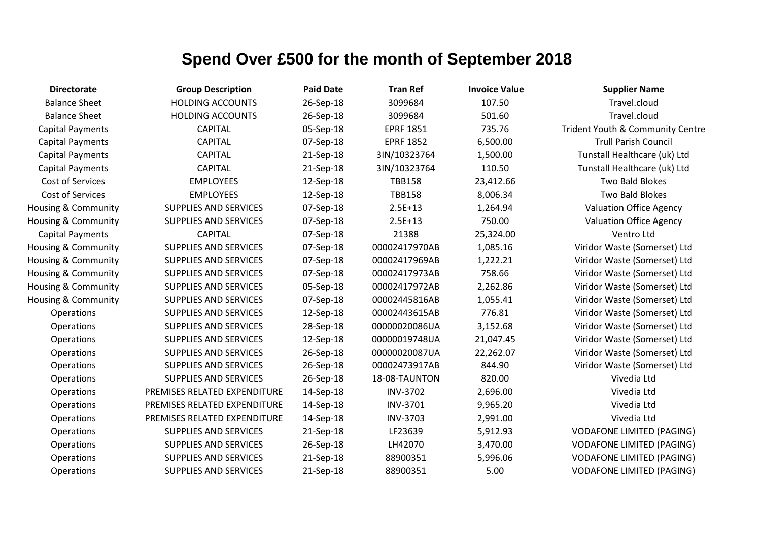| <b>Directorate</b>             | <b>Group Description</b>     | <b>Paid Date</b> | <b>Tran Ref</b>  | <b>Invoice Value</b> | <b>Supplier Name</b>             |
|--------------------------------|------------------------------|------------------|------------------|----------------------|----------------------------------|
| <b>Balance Sheet</b>           | <b>HOLDING ACCOUNTS</b>      | 26-Sep-18        | 3099684          | 107.50               | Travel.cloud                     |
| <b>Balance Sheet</b>           | <b>HOLDING ACCOUNTS</b>      | 26-Sep-18        | 3099684          | 501.60               | Travel.cloud                     |
| <b>Capital Payments</b>        | <b>CAPITAL</b>               | 05-Sep-18        | <b>EPRF 1851</b> | 735.76               | Trident Youth & Community Centre |
| <b>Capital Payments</b>        | <b>CAPITAL</b>               | 07-Sep-18        | <b>EPRF 1852</b> | 6,500.00             | <b>Trull Parish Council</b>      |
| <b>Capital Payments</b>        | <b>CAPITAL</b>               | 21-Sep-18        | 3IN/10323764     | 1,500.00             | Tunstall Healthcare (uk) Ltd     |
| <b>Capital Payments</b>        | <b>CAPITAL</b>               | 21-Sep-18        | 3IN/10323764     | 110.50               | Tunstall Healthcare (uk) Ltd     |
| Cost of Services               | <b>EMPLOYEES</b>             | 12-Sep-18        | <b>TBB158</b>    | 23,412.66            | Two Bald Blokes                  |
| Cost of Services               | <b>EMPLOYEES</b>             | 12-Sep-18        | <b>TBB158</b>    | 8,006.34             | <b>Two Bald Blokes</b>           |
| <b>Housing &amp; Community</b> | <b>SUPPLIES AND SERVICES</b> | 07-Sep-18        | $2.5E+13$        | 1,264.94             | <b>Valuation Office Agency</b>   |
| Housing & Community            | <b>SUPPLIES AND SERVICES</b> | 07-Sep-18        | $2.5E+13$        | 750.00               | <b>Valuation Office Agency</b>   |
| <b>Capital Payments</b>        | <b>CAPITAL</b>               | 07-Sep-18        | 21388            | 25,324.00            | Ventro Ltd                       |
| Housing & Community            | <b>SUPPLIES AND SERVICES</b> | 07-Sep-18        | 00002417970AB    | 1,085.16             | Viridor Waste (Somerset) Ltd     |
| Housing & Community            | <b>SUPPLIES AND SERVICES</b> | 07-Sep-18        | 00002417969AB    | 1,222.21             | Viridor Waste (Somerset) Ltd     |
| Housing & Community            | SUPPLIES AND SERVICES        | 07-Sep-18        | 00002417973AB    | 758.66               | Viridor Waste (Somerset) Ltd     |
| Housing & Community            | SUPPLIES AND SERVICES        | 05-Sep-18        | 00002417972AB    | 2,262.86             | Viridor Waste (Somerset) Ltd     |
| <b>Housing &amp; Community</b> | SUPPLIES AND SERVICES        | 07-Sep-18        | 00002445816AB    | 1,055.41             | Viridor Waste (Somerset) Ltd     |
| Operations                     | SUPPLIES AND SERVICES        | 12-Sep-18        | 00002443615AB    | 776.81               | Viridor Waste (Somerset) Ltd     |
| <b>Operations</b>              | SUPPLIES AND SERVICES        | 28-Sep-18        | 00000020086UA    | 3,152.68             | Viridor Waste (Somerset) Ltd     |
| <b>Operations</b>              | SUPPLIES AND SERVICES        | 12-Sep-18        | 00000019748UA    | 21,047.45            | Viridor Waste (Somerset) Ltd     |
| <b>Operations</b>              | SUPPLIES AND SERVICES        | 26-Sep-18        | 00000020087UA    | 22,262.07            | Viridor Waste (Somerset) Ltd     |
| <b>Operations</b>              | SUPPLIES AND SERVICES        | 26-Sep-18        | 00002473917AB    | 844.90               | Viridor Waste (Somerset) Ltd     |
| <b>Operations</b>              | <b>SUPPLIES AND SERVICES</b> | 26-Sep-18        | 18-08-TAUNTON    | 820.00               | Vivedia Ltd                      |
| Operations                     | PREMISES RELATED EXPENDITURE | 14-Sep-18        | <b>INV-3702</b>  | 2,696.00             | Vivedia Ltd                      |
| <b>Operations</b>              | PREMISES RELATED EXPENDITURE | 14-Sep-18        | <b>INV-3701</b>  | 9,965.20             | Vivedia Ltd                      |
| Operations                     | PREMISES RELATED EXPENDITURE | 14-Sep-18        | <b>INV-3703</b>  | 2,991.00             | Vivedia Ltd                      |
| Operations                     | <b>SUPPLIES AND SERVICES</b> | 21-Sep-18        | LF23639          | 5,912.93             | <b>VODAFONE LIMITED (PAGING)</b> |
| Operations                     | SUPPLIES AND SERVICES        | 26-Sep-18        | LH42070          | 3,470.00             | <b>VODAFONE LIMITED (PAGING)</b> |
| <b>Operations</b>              | SUPPLIES AND SERVICES        | 21-Sep-18        | 88900351         | 5,996.06             | <b>VODAFONE LIMITED (PAGING)</b> |
| <b>Operations</b>              | <b>SUPPLIES AND SERVICES</b> | 21-Sep-18        | 88900351         | 5.00                 | <b>VODAFONE LIMITED (PAGING)</b> |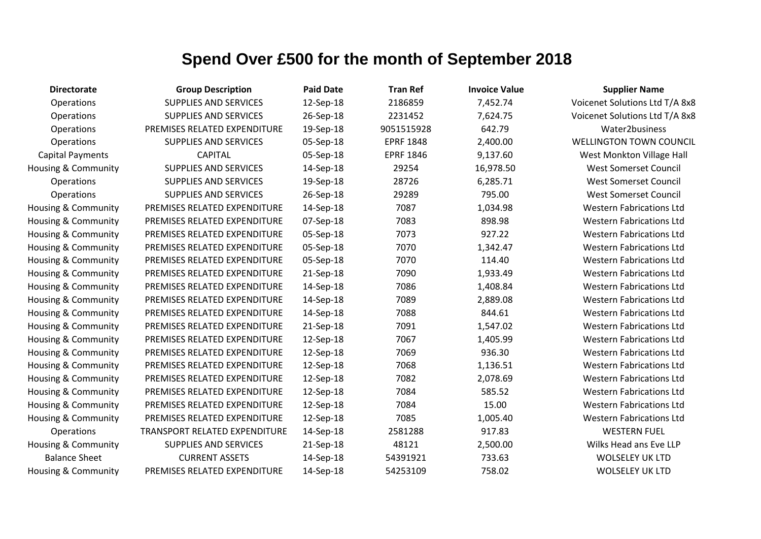| <b>Directorate</b>      | <b>Group Description</b>      | <b>Paid Date</b> | <b>Tran Ref</b>  | <b>Invoice Value</b> | <b>Supplier Name</b>            |
|-------------------------|-------------------------------|------------------|------------------|----------------------|---------------------------------|
| Operations              | <b>SUPPLIES AND SERVICES</b>  | 12-Sep-18        | 2186859          | 7,452.74             | Voicenet Solutions Ltd T/A 8x8  |
| <b>Operations</b>       | <b>SUPPLIES AND SERVICES</b>  | 26-Sep-18        | 2231452          | 7,624.75             | Voicenet Solutions Ltd T/A 8x8  |
| Operations              | PREMISES RELATED EXPENDITURE  | 19-Sep-18        | 9051515928       | 642.79               | Water2business                  |
| Operations              | <b>SUPPLIES AND SERVICES</b>  | 05-Sep-18        | <b>EPRF 1848</b> | 2,400.00             | <b>WELLINGTON TOWN COUNCIL</b>  |
| <b>Capital Payments</b> | <b>CAPITAL</b>                | 05-Sep-18        | <b>EPRF 1846</b> | 9,137.60             | West Monkton Village Hall       |
| Housing & Community     | <b>SUPPLIES AND SERVICES</b>  | 14-Sep-18        | 29254            | 16,978.50            | <b>West Somerset Council</b>    |
| Operations              | <b>SUPPLIES AND SERVICES</b>  | 19-Sep-18        | 28726            | 6,285.71             | <b>West Somerset Council</b>    |
| Operations              | <b>SUPPLIES AND SERVICES</b>  | 26-Sep-18        | 29289            | 795.00               | <b>West Somerset Council</b>    |
| Housing & Community     | PREMISES RELATED EXPENDITURE  | 14-Sep-18        | 7087             | 1,034.98             | <b>Western Fabrications Ltd</b> |
| Housing & Community     | PREMISES RELATED EXPENDITURE  | 07-Sep-18        | 7083             | 898.98               | <b>Western Fabrications Ltd</b> |
| Housing & Community     | PREMISES RELATED EXPENDITURE  | 05-Sep-18        | 7073             | 927.22               | <b>Western Fabrications Ltd</b> |
| Housing & Community     | PREMISES RELATED EXPENDITURE  | 05-Sep-18        | 7070             | 1,342.47             | <b>Western Fabrications Ltd</b> |
| Housing & Community     | PREMISES RELATED EXPENDITURE  | 05-Sep-18        | 7070             | 114.40               | <b>Western Fabrications Ltd</b> |
| Housing & Community     | PREMISES RELATED EXPENDITURE  | 21-Sep-18        | 7090             | 1,933.49             | <b>Western Fabrications Ltd</b> |
| Housing & Community     | PREMISES RELATED EXPENDITURE  | 14-Sep-18        | 7086             | 1,408.84             | <b>Western Fabrications Ltd</b> |
| Housing & Community     | PREMISES RELATED EXPENDITURE  | 14-Sep-18        | 7089             | 2,889.08             | <b>Western Fabrications Ltd</b> |
| Housing & Community     | PREMISES RELATED EXPENDITURE  | 14-Sep-18        | 7088             | 844.61               | <b>Western Fabrications Ltd</b> |
| Housing & Community     | PREMISES RELATED EXPENDITURE  | 21-Sep-18        | 7091             | 1,547.02             | <b>Western Fabrications Ltd</b> |
| Housing & Community     | PREMISES RELATED EXPENDITURE  | 12-Sep-18        | 7067             | 1,405.99             | <b>Western Fabrications Ltd</b> |
| Housing & Community     | PREMISES RELATED EXPENDITURE  | 12-Sep-18        | 7069             | 936.30               | <b>Western Fabrications Ltd</b> |
| Housing & Community     | PREMISES RELATED EXPENDITURE  | 12-Sep-18        | 7068             | 1,136.51             | <b>Western Fabrications Ltd</b> |
| Housing & Community     | PREMISES RELATED EXPENDITURE  | 12-Sep-18        | 7082             | 2,078.69             | <b>Western Fabrications Ltd</b> |
| Housing & Community     | PREMISES RELATED EXPENDITURE  | 12-Sep-18        | 7084             | 585.52               | <b>Western Fabrications Ltd</b> |
| Housing & Community     | PREMISES RELATED EXPENDITURE  | 12-Sep-18        | 7084             | 15.00                | <b>Western Fabrications Ltd</b> |
| Housing & Community     | PREMISES RELATED EXPENDITURE  | 12-Sep-18        | 7085             | 1,005.40             | <b>Western Fabrications Ltd</b> |
| Operations              | TRANSPORT RELATED EXPENDITURE | 14-Sep-18        | 2581288          | 917.83               | <b>WESTERN FUEL</b>             |
| Housing & Community     | <b>SUPPLIES AND SERVICES</b>  | 21-Sep-18        | 48121            | 2,500.00             | Wilks Head ans Eve LLP          |
| <b>Balance Sheet</b>    | <b>CURRENT ASSETS</b>         | 14-Sep-18        | 54391921         | 733.63               | <b>WOLSELEY UK LTD</b>          |
| Housing & Community     | PREMISES RELATED EXPENDITURE  | 14-Sep-18        | 54253109         | 758.02               | <b>WOLSELEY UK LTD</b>          |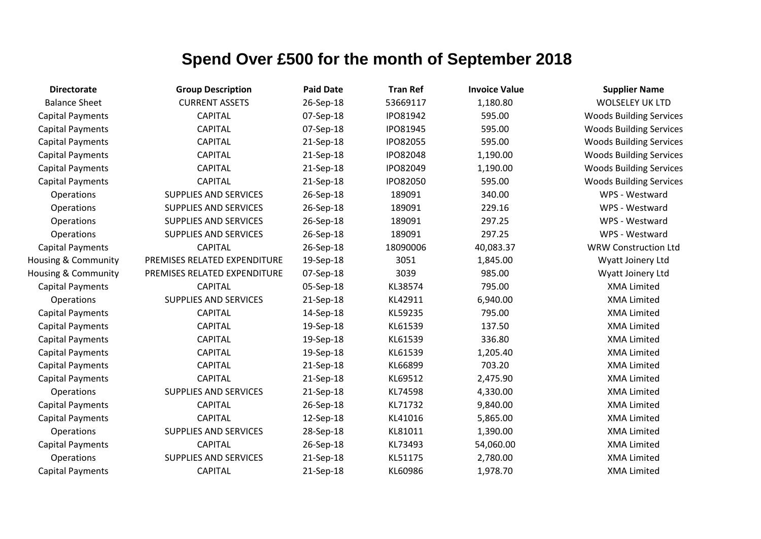| <b>Directorate</b>      | <b>Group Description</b>     | <b>Paid Date</b> | <b>Tran Ref</b> | <b>Invoice Value</b> | <b>Supplier Name</b>           |
|-------------------------|------------------------------|------------------|-----------------|----------------------|--------------------------------|
| <b>Balance Sheet</b>    | <b>CURRENT ASSETS</b>        | 26-Sep-18        | 53669117        | 1,180.80             | <b>WOLSELEY UK LTD</b>         |
| <b>Capital Payments</b> | <b>CAPITAL</b>               | 07-Sep-18        | <b>IPO81942</b> | 595.00               | <b>Woods Building Services</b> |
| <b>Capital Payments</b> | <b>CAPITAL</b>               | 07-Sep-18        | IPO81945        | 595.00               | <b>Woods Building Services</b> |
| <b>Capital Payments</b> | <b>CAPITAL</b>               | 21-Sep-18        | IPO82055        | 595.00               | <b>Woods Building Services</b> |
| <b>Capital Payments</b> | <b>CAPITAL</b>               | 21-Sep-18        | <b>IPO82048</b> | 1,190.00             | <b>Woods Building Services</b> |
| <b>Capital Payments</b> | <b>CAPITAL</b>               | 21-Sep-18        | IPO82049        | 1,190.00             | <b>Woods Building Services</b> |
| <b>Capital Payments</b> | <b>CAPITAL</b>               | 21-Sep-18        | IPO82050        | 595.00               | <b>Woods Building Services</b> |
| Operations              | <b>SUPPLIES AND SERVICES</b> | 26-Sep-18        | 189091          | 340.00               | WPS - Westward                 |
| Operations              | <b>SUPPLIES AND SERVICES</b> | 26-Sep-18        | 189091          | 229.16               | WPS - Westward                 |
| Operations              | <b>SUPPLIES AND SERVICES</b> | 26-Sep-18        | 189091          | 297.25               | WPS - Westward                 |
| Operations              | <b>SUPPLIES AND SERVICES</b> | 26-Sep-18        | 189091          | 297.25               | WPS - Westward                 |
| <b>Capital Payments</b> | <b>CAPITAL</b>               | 26-Sep-18        | 18090006        | 40,083.37            | <b>WRW Construction Ltd</b>    |
| Housing & Community     | PREMISES RELATED EXPENDITURE | 19-Sep-18        | 3051            | 1,845.00             | Wyatt Joinery Ltd              |
| Housing & Community     | PREMISES RELATED EXPENDITURE | 07-Sep-18        | 3039            | 985.00               | Wyatt Joinery Ltd              |
| <b>Capital Payments</b> | <b>CAPITAL</b>               | 05-Sep-18        | KL38574         | 795.00               | <b>XMA Limited</b>             |
| Operations              | <b>SUPPLIES AND SERVICES</b> | 21-Sep-18        | KL42911         | 6,940.00             | <b>XMA Limited</b>             |
| <b>Capital Payments</b> | <b>CAPITAL</b>               | 14-Sep-18        | KL59235         | 795.00               | <b>XMA Limited</b>             |
| <b>Capital Payments</b> | <b>CAPITAL</b>               | 19-Sep-18        | KL61539         | 137.50               | <b>XMA Limited</b>             |
| <b>Capital Payments</b> | <b>CAPITAL</b>               | 19-Sep-18        | KL61539         | 336.80               | <b>XMA Limited</b>             |
| <b>Capital Payments</b> | <b>CAPITAL</b>               | 19-Sep-18        | KL61539         | 1,205.40             | <b>XMA Limited</b>             |
| <b>Capital Payments</b> | <b>CAPITAL</b>               | 21-Sep-18        | KL66899         | 703.20               | <b>XMA Limited</b>             |
| <b>Capital Payments</b> | <b>CAPITAL</b>               | 21-Sep-18        | KL69512         | 2,475.90             | <b>XMA Limited</b>             |
| Operations              | <b>SUPPLIES AND SERVICES</b> | 21-Sep-18        | KL74598         | 4,330.00             | <b>XMA Limited</b>             |
| <b>Capital Payments</b> | <b>CAPITAL</b>               | 26-Sep-18        | KL71732         | 9,840.00             | <b>XMA Limited</b>             |
| <b>Capital Payments</b> | <b>CAPITAL</b>               | 12-Sep-18        | KL41016         | 5,865.00             | <b>XMA Limited</b>             |
| Operations              | <b>SUPPLIES AND SERVICES</b> | 28-Sep-18        | KL81011         | 1,390.00             | <b>XMA Limited</b>             |
| <b>Capital Payments</b> | <b>CAPITAL</b>               | 26-Sep-18        | KL73493         | 54,060.00            | <b>XMA Limited</b>             |
| <b>Operations</b>       | <b>SUPPLIES AND SERVICES</b> | 21-Sep-18        | KL51175         | 2,780.00             | <b>XMA Limited</b>             |
| <b>Capital Payments</b> | <b>CAPITAL</b>               | 21-Sep-18        | KL60986         | 1,978.70             | <b>XMA Limited</b>             |